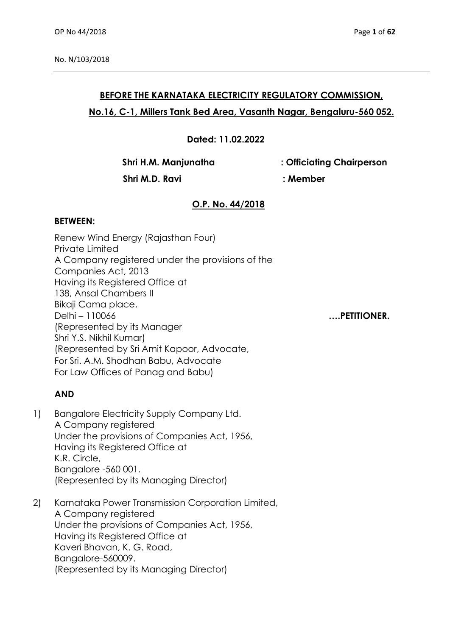## **BEFORE THE KARNATAKA ELECTRICITY REGULATORY COMMISSION, No.16, C-1, Millers Tank Bed Area, Vasanth Nagar, Bengaluru-560 052.**

**Dated: 11.02.2022**

**Shri H.M. Manjunatha : Officiating Chairperson**

 **Shri M.D. Ravi : Member**

# **O.P. No. 44/2018**

#### **BETWEEN:**

Renew Wind Energy (Rajasthan Four) Private Limited A Company registered under the provisions of the Companies Act, 2013 Having its Registered Office at 138, Ansal Chambers II Bikaji Cama place, Delhi – 110066 **….PETITIONER.**  (Represented by its Manager Shri Y.S. Nikhil Kumar) (Represented by Sri Amit Kapoor, Advocate, For Sri. A.M. Shodhan Babu, Advocate For Law Offices of Panag and Babu)

## **AND**

- 1) Bangalore Electricity Supply Company Ltd. A Company registered Under the provisions of Companies Act, 1956, Having its Registered Office at K.R. Circle, Bangalore -560 001. (Represented by its Managing Director)
- 2) Karnataka Power Transmission Corporation Limited, A Company registered Under the provisions of Companies Act, 1956, Having its Registered Office at Kaveri Bhavan, K. G. Road, Bangalore-560009. (Represented by its Managing Director)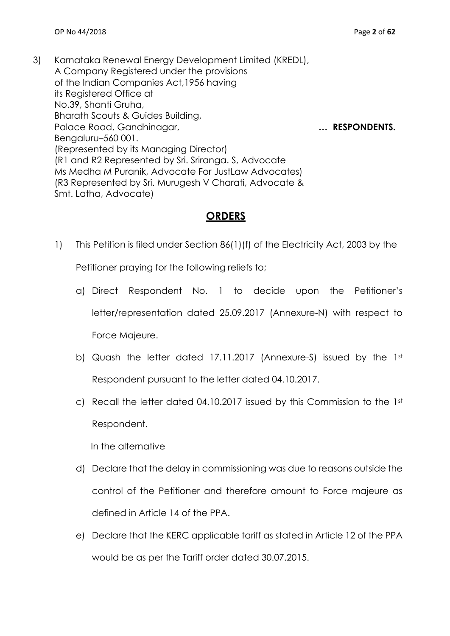3) Karnataka Renewal Energy Development Limited (KREDL), A Company Registered under the provisions of the Indian Companies Act,1956 having its Registered Office at No.39, Shanti Gruha, Bharath Scouts & Guides Building, Palace Road, Gandhinagar, **2006 1997 1998 1998 1998 1998 1998 1998 1998 1998 1999 1999 1999 1999 1999 1999 1999 1999 1999 1999 1999 1999 1999 1999 1999 1999 1999 1999** Bengaluru–560 001. (Represented by its Managing Director) (R1 and R2 Represented by Sri. Sriranga. S, Advocate Ms Medha M Puranik, Advocate For JustLaw Advocates) (R3 Represented by Sri. Murugesh V Charati, Advocate & Smt. Latha, Advocate)

## **ORDERS**

1) This Petition is filed under Section 86(1)(f) of the Electricity Act, 2003 by the

Petitioner praying for the following reliefs to;

- a) Direct Respondent No. 1 to decide upon the Petitioner's letter/representation dated 25.09.2017 (Annexure-N) with respect to Force Majeure.
- b) Quash the letter dated 17.11.2017 (Annexure-S) issued by the 1st Respondent pursuant to the letter dated 04.10.2017.
- c) Recall the letter dated 04.10.2017 issued by this Commission to the 1st Respondent.

In the alternative

- d) Declare that the delay in commissioning was due to reasons outside the control of the Petitioner and therefore amount to Force majeure as defined in Article 14 of the PPA.
- e) Declare that the KERC applicable tariff as stated in Article 12 of the PPA would be as per the Tariff order dated 30.07.2015.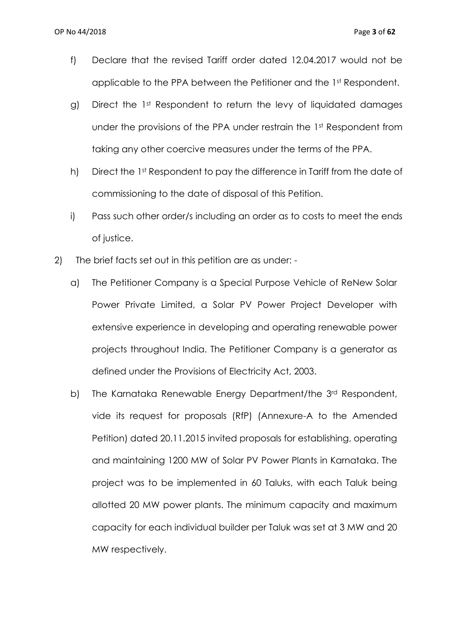- f) Declare that the revised Tariff order dated 12.04.2017 would not be applicable to the PPA between the Petitioner and the 1st Respondent.
- g) Direct the 1st Respondent to return the levy of liquidated damages under the provisions of the PPA under restrain the 1st Respondent from taking any other coercive measures under the terms of the PPA.
- h) Direct the 1st Respondent to pay the difference in Tariff from the date of commissioning to the date of disposal of this Petition.
- i) Pass such other order/s including an order as to costs to meet the ends of justice.
- 2) The brief facts set out in this petition are as under:
	- a) The Petitioner Company is a Special Purpose Vehicle of ReNew Solar Power Private Limited, a Solar PV Power Project Developer with extensive experience in developing and operating renewable power projects throughout India. The Petitioner Company is a generator as defined under the Provisions of Electricity Act, 2003.
	- b) The Karnataka Renewable Energy Department/the 3<sup>rd</sup> Respondent, vide its request for proposals (RfP) (Annexure-A to the Amended Petition) dated 20.11.2015 invited proposals for establishing, operating and maintaining 1200 MW of Solar PV Power Plants in Karnataka. The project was to be implemented in 60 Taluks, with each Taluk being allotted 20 MW power plants. The minimum capacity and maximum capacity for each individual builder per Taluk was set at 3 MW and 20 MW respectively.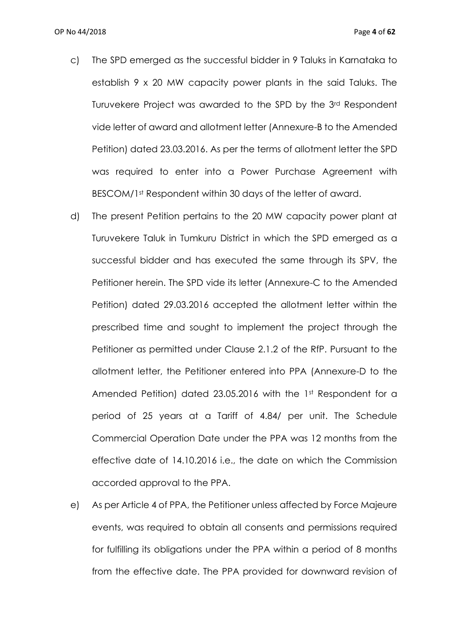- c) The SPD emerged as the successful bidder in 9 Taluks in Karnataka to establish 9 x 20 MW capacity power plants in the said Taluks. The Turuvekere Project was awarded to the SPD by the 3rd Respondent vide letter of award and allotment letter (Annexure-B to the Amended Petition) dated 23.03.2016. As per the terms of allotment letter the SPD was required to enter into a Power Purchase Agreement with BESCOM/1st Respondent within 30 days of the letter of award.
- d) The present Petition pertains to the 20 MW capacity power plant at Turuvekere Taluk in Tumkuru District in which the SPD emerged as a successful bidder and has executed the same through its SPV, the Petitioner herein. The SPD vide its letter (Annexure-C to the Amended Petition) dated 29.03.2016 accepted the allotment letter within the prescribed time and sought to implement the project through the Petitioner as permitted under Clause 2.1.2 of the RfP. Pursuant to the allotment letter, the Petitioner entered into PPA (Annexure-D to the Amended Petition) dated 23.05.2016 with the 1st Respondent for a period of 25 years at a Tariff of 4.84/ per unit. The Schedule Commercial Operation Date under the PPA was 12 months from the effective date of 14.10.2016 i.e., the date on which the Commission accorded approval to the PPA.
- e) As per Article 4 of PPA, the Petitioner unless affected by Force Majeure events, was required to obtain all consents and permissions required for fulfilling its obligations under the PPA within a period of 8 months from the effective date. The PPA provided for downward revision of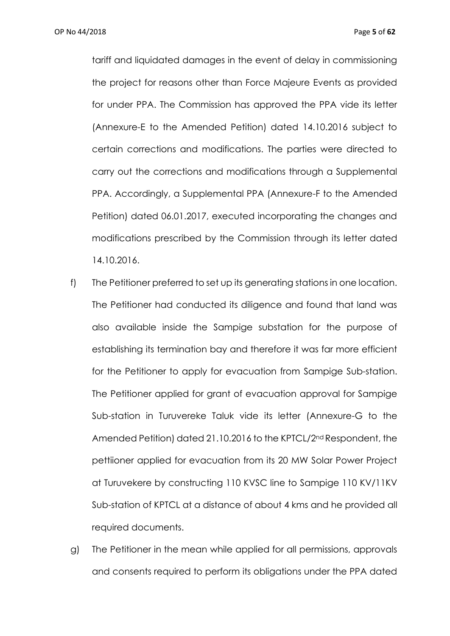tariff and liquidated damages in the event of delay in commissioning the project for reasons other than Force Majeure Events as provided for under PPA. The Commission has approved the PPA vide its letter (Annexure-E to the Amended Petition) dated 14.10.2016 subject to certain corrections and modifications. The parties were directed to carry out the corrections and modifications through a Supplemental PPA. Accordingly, a Supplemental PPA (Annexure-F to the Amended Petition) dated 06.01.2017, executed incorporating the changes and modifications prescribed by the Commission through its letter dated 14.10.2016.

- f) The Petitioner preferred to set up its generating stations in one location. The Petitioner had conducted its diligence and found that land was also available inside the Sampige substation for the purpose of establishing its termination bay and therefore it was far more efficient for the Petitioner to apply for evacuation from Sampige Sub-station. The Petitioner applied for grant of evacuation approval for Sampige Sub-station in Turuvereke Taluk vide its letter (Annexure-G to the Amended Petition) dated 21.10.2016 to the KPTCL/2nd Respondent, the pettiioner applied for evacuation from its 20 MW Solar Power Project at Turuvekere by constructing 110 KVSC line to Sampige 110 KV/11KV Sub-station of KPTCL at a distance of about 4 kms and he provided all required documents.
- g) The Petitioner in the mean while applied for all permissions, approvals and consents required to perform its obligations under the PPA dated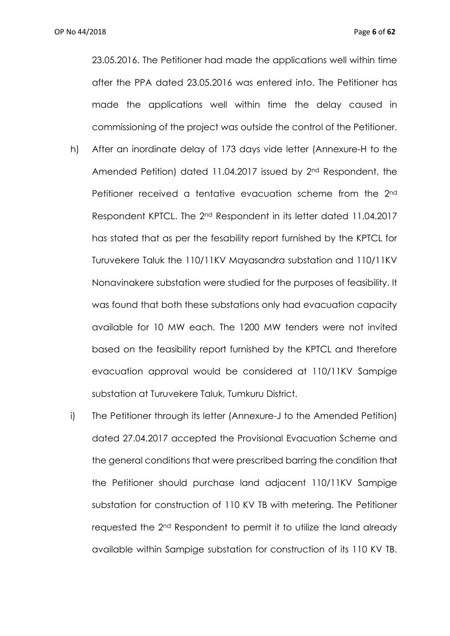23.05.2016. The Petitioner had made the applications well within time after the PPA dated 23.05.2016 was entered into. The Petitioner has made the applications well within time the delay caused in commissioning of the project was outside the control of the Petitioner.

- h) After an inordinate delay of 173 days vide letter (Annexure-H to the Amended Petition) dated 11.04.2017 issued by 2nd Respondent, the Petitioner received a tentative evacuation scheme from the 2<sup>nd</sup> Respondent KPTCL. The 2nd Respondent in its letter dated 11.04.2017 has stated that as per the fesability report furnished by the KPTCL for Turuvekere Taluk the 110/11KV Mayasandra substation and 110/11KV Nonavinakere substation were studied for the purposes of feasibility. It was found that both these substations only had evacuation capacity available for 10 MW each. The 1200 MW tenders were not invited based on the feasibility report furnished by the KPTCL and therefore evacuation approval would be considered at 110/11KV Sampige substation at Turuvekere Taluk, Tumkuru District.
- i) The Petitioner through its letter (Annexure-J to the Amended Petition) dated 27.04.2017 accepted the Provisional Evacuation Scheme and the general conditions that were prescribed barring the condition that the Petitioner should purchase land adjacent 110/11KV Sampige substation for construction of 110 KV TB with metering. The Petitioner requested the 2nd Respondent to permit it to utilize the land already available within Sampige substation for construction of its 110 KV TB.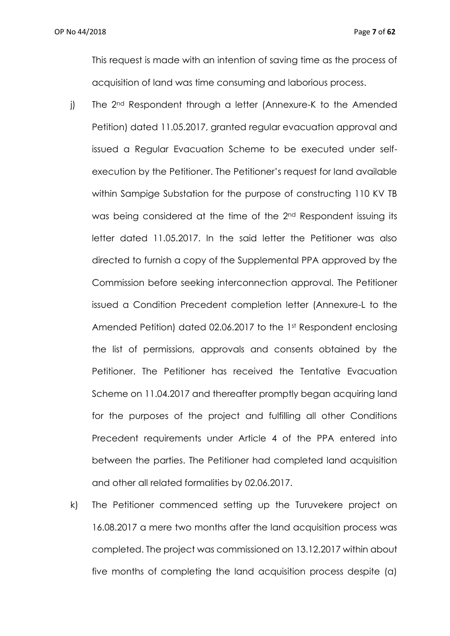This request is made with an intention of saving time as the process of acquisition of land was time consuming and laborious process.

- j) The 2<sup>nd</sup> Respondent through a letter (Annexure-K to the Amended Petition) dated 11.05.2017, granted regular evacuation approval and issued a Regular Evacuation Scheme to be executed under selfexecution by the Petitioner. The Petitioner's request for land available within Sampige Substation for the purpose of constructing 110 KV TB was being considered at the time of the 2nd Respondent issuing its letter dated 11.05.2017. In the said letter the Petitioner was also directed to furnish a copy of the Supplemental PPA approved by the Commission before seeking interconnection approval. The Petitioner issued a Condition Precedent completion letter (Annexure-L to the Amended Petition) dated 02.06.2017 to the 1st Respondent enclosing the list of permissions, approvals and consents obtained by the Petitioner. The Petitioner has received the Tentative Evacuation Scheme on 11.04.2017 and thereafter promptly began acquiring land for the purposes of the project and fulfilling all other Conditions Precedent requirements under Article 4 of the PPA entered into between the parties. The Petitioner had completed land acquisition and other all related formalities by 02.06.2017.
- k) The Petitioner commenced setting up the Turuvekere project on 16.08.2017 a mere two months after the land acquisition process was completed. The project was commissioned on 13.12.2017 within about five months of completing the land acquisition process despite (a)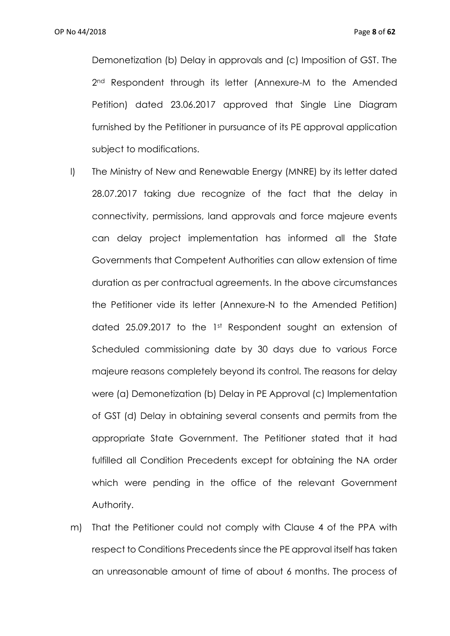Demonetization (b) Delay in approvals and (c) Imposition of GST. The 2<sup>nd</sup> Respondent through its letter (Annexure-M to the Amended Petition) dated 23.06.2017 approved that Single Line Diagram furnished by the Petitioner in pursuance of its PE approval application subject to modifications.

- l) The Ministry of New and Renewable Energy (MNRE) by its letter dated 28.07.2017 taking due recognize of the fact that the delay in connectivity, permissions, land approvals and force majeure events can delay project implementation has informed all the State Governments that Competent Authorities can allow extension of time duration as per contractual agreements. In the above circumstances the Petitioner vide its letter (Annexure-N to the Amended Petition) dated 25.09.2017 to the 1st Respondent sought an extension of Scheduled commissioning date by 30 days due to various Force majeure reasons completely beyond its control. The reasons for delay were (a) Demonetization (b) Delay in PE Approval (c) Implementation of GST (d) Delay in obtaining several consents and permits from the appropriate State Government. The Petitioner stated that it had fulfilled all Condition Precedents except for obtaining the NA order which were pending in the office of the relevant Government Authority.
- m) That the Petitioner could not comply with Clause 4 of the PPA with respect to Conditions Precedents since the PE approval itself has taken an unreasonable amount of time of about 6 months. The process of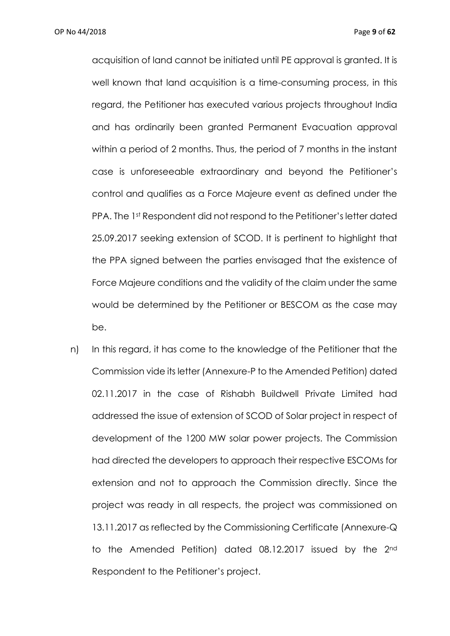acquisition of land cannot be initiated until PE approval is granted. It is well known that land acquisition is a time-consuming process, in this regard, the Petitioner has executed various projects throughout India and has ordinarily been granted Permanent Evacuation approval within a period of 2 months. Thus, the period of 7 months in the instant case is unforeseeable extraordinary and beyond the Petitioner's control and qualifies as a Force Majeure event as defined under the PPA. The 1st Respondent did not respond to the Petitioner's letter dated 25.09.2017 seeking extension of SCOD. It is pertinent to highlight that the PPA signed between the parties envisaged that the existence of Force Majeure conditions and the validity of the claim under the same would be determined by the Petitioner or BESCOM as the case may be.

n) In this regard, it has come to the knowledge of the Petitioner that the Commission vide its letter (Annexure-P to the Amended Petition) dated 02.11.2017 in the case of Rishabh Buildwell Private Limited had addressed the issue of extension of SCOD of Solar project in respect of development of the 1200 MW solar power projects. The Commission had directed the developers to approach their respective ESCOMs for extension and not to approach the Commission directly. Since the project was ready in all respects, the project was commissioned on 13.11.2017 as reflected by the Commissioning Certificate (Annexure-Q to the Amended Petition) dated 08.12.2017 issued by the 2nd Respondent to the Petitioner's project.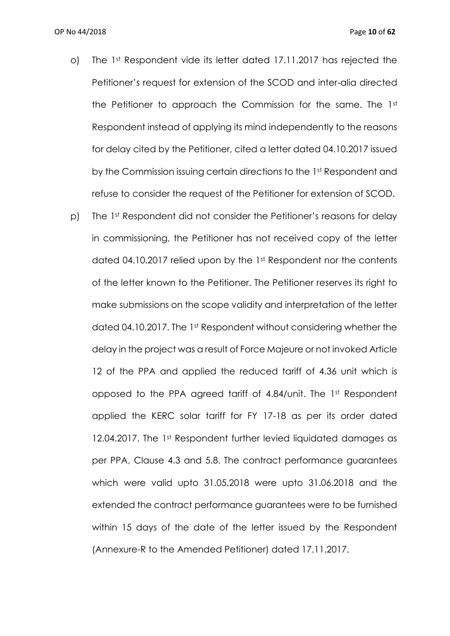- o) The 1st Respondent vide its letter dated 17.11.2017 has rejected the Petitioner's request for extension of the SCOD and inter-alia directed the Petitioner to approach the Commission for the same. The 1st Respondent instead of applying its mind independently to the reasons for delay cited by the Petitioner, cited a letter dated 04.10.2017 issued by the Commission issuing certain directions to the 1st Respondent and refuse to consider the request of the Petitioner for extension of SCOD.
- p) The 1st Respondent did not consider the Petitioner's reasons for delay in commissioning, the Petitioner has not received copy of the letter dated 04.10.2017 relied upon by the 1st Respondent nor the contents of the letter known to the Petitioner. The Petitioner reserves its right to make submissions on the scope validity and interpretation of the letter dated 04.10.2017. The 1st Respondent without considering whether the delay in the project was a result of Force Majeure or not invoked Article 12 of the PPA and applied the reduced tariff of 4.36 unit which is opposed to the PPA agreed tariff of 4.84/unit. The 1st Respondent applied the KERC solar tariff for FY 17-18 as per its order dated 12.04.2017. The 1st Respondent further levied liquidated damages as per PPA, Clause 4.3 and 5.8. The contract performance guarantees which were valid upto 31.05.2018 were upto 31.06.2018 and the extended the contract performance guarantees were to be furnished within 15 days of the date of the letter issued by the Respondent (Annexure-R to the Amended Petitioner) dated 17.11.2017.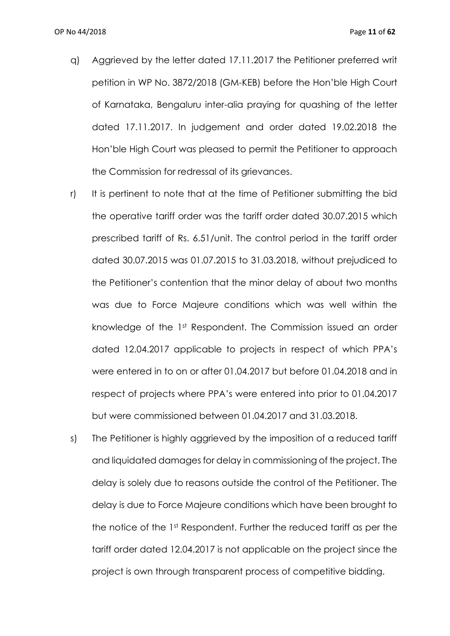- q) Aggrieved by the letter dated 17.11.2017 the Petitioner preferred writ petition in WP No. 3872/2018 (GM-KEB) before the Hon'ble High Court of Karnataka, Bengaluru inter-alia praying for quashing of the letter dated 17.11.2017. In judgement and order dated 19.02.2018 the Hon'ble High Court was pleased to permit the Petitioner to approach the Commission for redressal of its grievances.
- r) It is pertinent to note that at the time of Petitioner submitting the bid the operative tariff order was the tariff order dated 30.07.2015 which prescribed tariff of Rs. 6.51/unit. The control period in the tariff order dated 30.07.2015 was 01.07.2015 to 31.03.2018, without prejudiced to the Petitioner's contention that the minor delay of about two months was due to Force Majeure conditions which was well within the knowledge of the 1st Respondent. The Commission issued an order dated 12.04.2017 applicable to projects in respect of which PPA's were entered in to on or after 01.04.2017 but before 01.04.2018 and in respect of projects where PPA's were entered into prior to 01.04.2017 but were commissioned between 01.04.2017 and 31.03.2018.
- s) The Petitioner is highly aggrieved by the imposition of a reduced tariff and liquidated damages for delay in commissioning of the project. The delay is solely due to reasons outside the control of the Petitioner. The delay is due to Force Majeure conditions which have been brought to the notice of the 1st Respondent. Further the reduced tariff as per the tariff order dated 12.04.2017 is not applicable on the project since the project is own through transparent process of competitive bidding.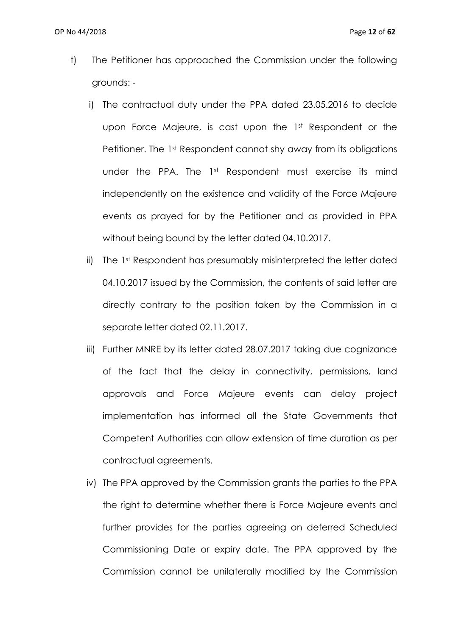- t) The Petitioner has approached the Commission under the following grounds:
	- i) The contractual duty under the PPA dated 23.05.2016 to decide upon Force Majeure, is cast upon the 1st Respondent or the Petitioner. The 1st Respondent cannot shy away from its obligations under the PPA. The 1st Respondent must exercise its mind independently on the existence and validity of the Force Majeure events as prayed for by the Petitioner and as provided in PPA without being bound by the letter dated 04.10.2017.
	- ii) The 1st Respondent has presumably misinterpreted the letter dated 04.10.2017 issued by the Commission, the contents of said letter are directly contrary to the position taken by the Commission in a separate letter dated 02.11.2017.
	- iii) Further MNRE by its letter dated 28.07.2017 taking due cognizance of the fact that the delay in connectivity, permissions, land approvals and Force Majeure events can delay project implementation has informed all the State Governments that Competent Authorities can allow extension of time duration as per contractual agreements.
	- iv) The PPA approved by the Commission grants the parties to the PPA the right to determine whether there is Force Majeure events and further provides for the parties agreeing on deferred Scheduled Commissioning Date or expiry date. The PPA approved by the Commission cannot be unilaterally modified by the Commission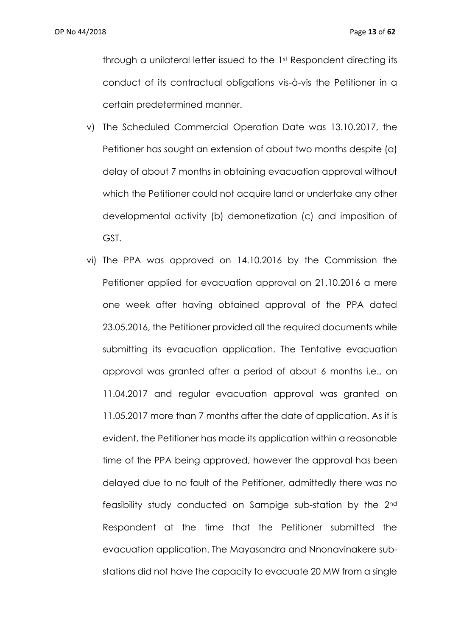through a unilateral letter issued to the 1st Respondent directing its conduct of its contractual obligations vis-à-vis the Petitioner in a certain predetermined manner.

- v) The Scheduled Commercial Operation Date was 13.10.2017, the Petitioner has sought an extension of about two months despite (a) delay of about 7 months in obtaining evacuation approval without which the Petitioner could not acquire land or undertake any other developmental activity (b) demonetization (c) and imposition of GST.
- vi) The PPA was approved on 14.10.2016 by the Commission the Petitioner applied for evacuation approval on 21.10.2016 a mere one week after having obtained approval of the PPA dated 23.05.2016, the Petitioner provided all the required documents while submitting its evacuation application. The Tentative evacuation approval was granted after a period of about 6 months i.e., on 11.04.2017 and regular evacuation approval was granted on 11.05.2017 more than 7 months after the date of application. As it is evident, the Petitioner has made its application within a reasonable time of the PPA being approved, however the approval has been delayed due to no fault of the Petitioner, admittedly there was no feasibility study conducted on Sampige sub-station by the 2nd Respondent at the time that the Petitioner submitted the evacuation application. The Mayasandra and Nnonavinakere substations did not have the capacity to evacuate 20 MW from a single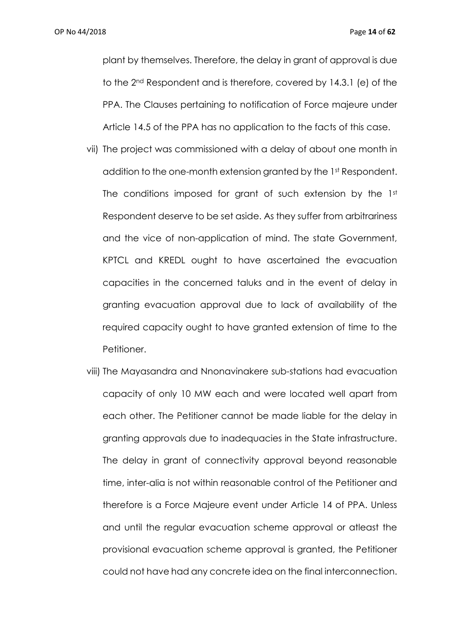OP No 44/2018 Page **14** of **62**

plant by themselves. Therefore, the delay in grant of approval is due to the 2nd Respondent and is therefore, covered by 14.3.1 (e) of the PPA. The Clauses pertaining to notification of Force majeure under Article 14.5 of the PPA has no application to the facts of this case.

- vii) The project was commissioned with a delay of about one month in addition to the one-month extension granted by the 1st Respondent. The conditions imposed for grant of such extension by the 1st Respondent deserve to be set aside. As they suffer from arbitrariness and the vice of non-application of mind. The state Government, KPTCL and KREDL ought to have ascertained the evacuation capacities in the concerned taluks and in the event of delay in granting evacuation approval due to lack of availability of the required capacity ought to have granted extension of time to the Petitioner.
- viii) The Mayasandra and Nnonavinakere sub-stations had evacuation capacity of only 10 MW each and were located well apart from each other. The Petitioner cannot be made liable for the delay in granting approvals due to inadequacies in the State infrastructure. The delay in grant of connectivity approval beyond reasonable time, inter-alia is not within reasonable control of the Petitioner and therefore is a Force Majeure event under Article 14 of PPA. Unless and until the regular evacuation scheme approval or atleast the provisional evacuation scheme approval is granted, the Petitioner could not have had any concrete idea on the final interconnection.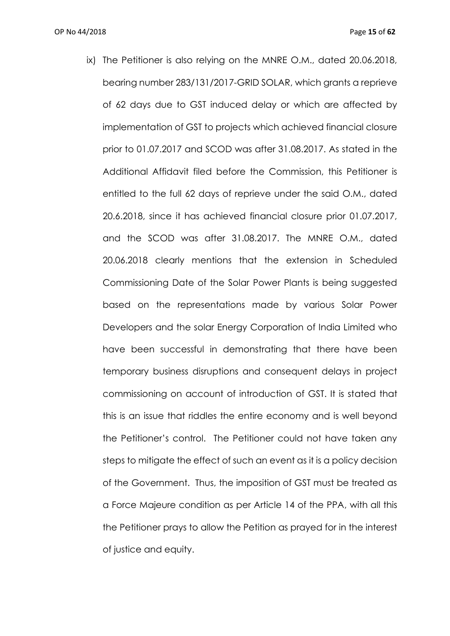ix) The Petitioner is also relying on the MNRE O.M., dated 20.06.2018, bearing number 283/131/2017-GRID SOLAR, which grants a reprieve of 62 days due to GST induced delay or which are affected by implementation of GST to projects which achieved financial closure prior to 01.07.2017 and SCOD was after 31.08.2017. As stated in the Additional Affidavit filed before the Commission, this Petitioner is entitled to the full 62 days of reprieve under the said O.M., dated 20.6.2018, since it has achieved financial closure prior 01.07.2017, and the SCOD was after 31.08.2017. The MNRE O.M., dated 20.06.2018 clearly mentions that the extension in Scheduled Commissioning Date of the Solar Power Plants is being suggested based on the representations made by various Solar Power Developers and the solar Energy Corporation of India Limited who have been successful in demonstrating that there have been temporary business disruptions and consequent delays in project commissioning on account of introduction of GST. It is stated that this is an issue that riddles the entire economy and is well beyond the Petitioner's control. The Petitioner could not have taken any steps to mitigate the effect of such an event as it is a policy decision of the Government. Thus, the imposition of GST must be treated as a Force Majeure condition as per Article 14 of the PPA, with all this the Petitioner prays to allow the Petition as prayed for in the interest of justice and equity.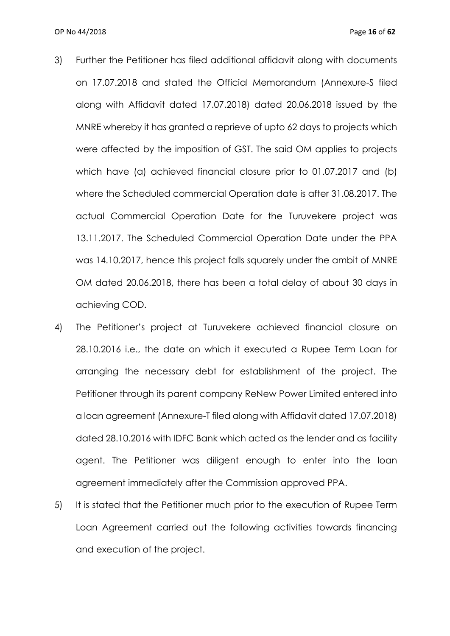- 3) Further the Petitioner has filed additional affidavit along with documents on 17.07.2018 and stated the Official Memorandum (Annexure-S filed along with Affidavit dated 17.07.2018) dated 20.06.2018 issued by the MNRE whereby it has granted a reprieve of upto 62 days to projects which were affected by the imposition of GST. The said OM applies to projects which have (a) achieved financial closure prior to 01.07.2017 and (b) where the Scheduled commercial Operation date is after 31.08.2017. The actual Commercial Operation Date for the Turuvekere project was 13.11.2017. The Scheduled Commercial Operation Date under the PPA was 14.10.2017, hence this project falls squarely under the ambit of MNRE OM dated 20.06.2018, there has been a total delay of about 30 days in achieving COD.
- 4) The Petitioner's project at Turuvekere achieved financial closure on 28.10.2016 i.e., the date on which it executed a Rupee Term Loan for arranging the necessary debt for establishment of the project. The Petitioner through its parent company ReNew Power Limited entered into a loan agreement (Annexure-T filed along with Affidavit dated 17.07.2018) dated 28.10.2016 with IDFC Bank which acted as the lender and as facility agent. The Petitioner was diligent enough to enter into the loan agreement immediately after the Commission approved PPA.
- 5) It is stated that the Petitioner much prior to the execution of Rupee Term Loan Agreement carried out the following activities towards financing and execution of the project.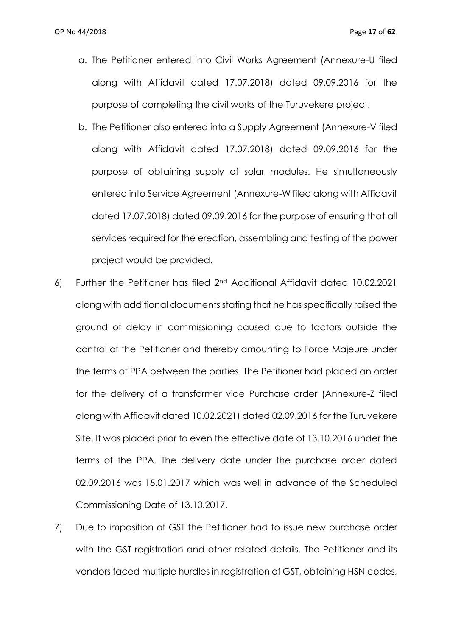- a. The Petitioner entered into Civil Works Agreement (Annexure-U filed along with Affidavit dated 17.07.2018) dated 09.09.2016 for the purpose of completing the civil works of the Turuvekere project.
- b. The Petitioner also entered into a Supply Agreement (Annexure-V filed along with Affidavit dated 17.07.2018) dated 09.09.2016 for the purpose of obtaining supply of solar modules. He simultaneously entered into Service Agreement (Annexure-W filed along with Affidavit dated 17.07.2018) dated 09.09.2016 for the purpose of ensuring that all services required for the erection, assembling and testing of the power project would be provided.
- 6) Further the Petitioner has filed 2nd Additional Affidavit dated 10.02.2021 along with additional documents stating that he has specifically raised the ground of delay in commissioning caused due to factors outside the control of the Petitioner and thereby amounting to Force Majeure under the terms of PPA between the parties. The Petitioner had placed an order for the delivery of a transformer vide Purchase order (Annexure-Z filed along with Affidavit dated 10.02.2021) dated 02.09.2016 for the Turuvekere Site. It was placed prior to even the effective date of 13.10.2016 under the terms of the PPA. The delivery date under the purchase order dated 02.09.2016 was 15.01.2017 which was well in advance of the Scheduled Commissioning Date of 13.10.2017.
- 7) Due to imposition of GST the Petitioner had to issue new purchase order with the GST registration and other related details. The Petitioner and its vendors faced multiple hurdles in registration of GST, obtaining HSN codes,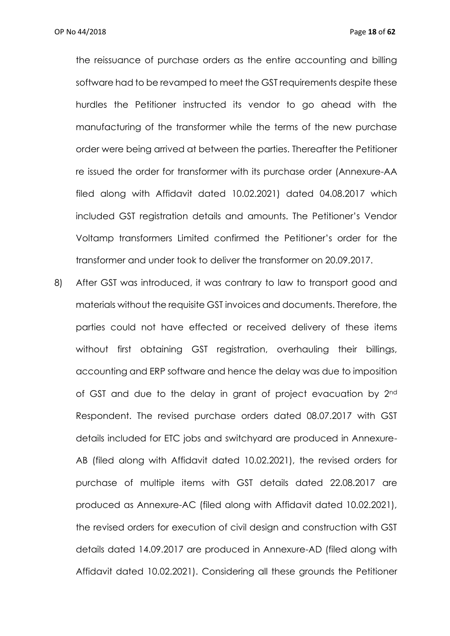the reissuance of purchase orders as the entire accounting and billing software had to be revamped to meet the GST requirements despite these hurdles the Petitioner instructed its vendor to go ahead with the manufacturing of the transformer while the terms of the new purchase order were being arrived at between the parties. Thereafter the Petitioner re issued the order for transformer with its purchase order (Annexure-AA filed along with Affidavit dated 10.02.2021) dated 04.08.2017 which included GST registration details and amounts. The Petitioner's Vendor Voltamp transformers Limited confirmed the Petitioner's order for the transformer and under took to deliver the transformer on 20.09.2017.

8) After GST was introduced, it was contrary to law to transport good and materials without the requisite GST invoices and documents. Therefore, the parties could not have effected or received delivery of these items without first obtaining GST registration, overhauling their billings, accounting and ERP software and hence the delay was due to imposition of GST and due to the delay in grant of project evacuation by 2nd Respondent. The revised purchase orders dated 08.07.2017 with GST details included for ETC jobs and switchyard are produced in Annexure-AB (filed along with Affidavit dated 10.02.2021), the revised orders for purchase of multiple items with GST details dated 22.08.2017 are produced as Annexure-AC (filed along with Affidavit dated 10.02.2021), the revised orders for execution of civil design and construction with GST details dated 14.09.2017 are produced in Annexure-AD (filed along with Affidavit dated 10.02.2021). Considering all these grounds the Petitioner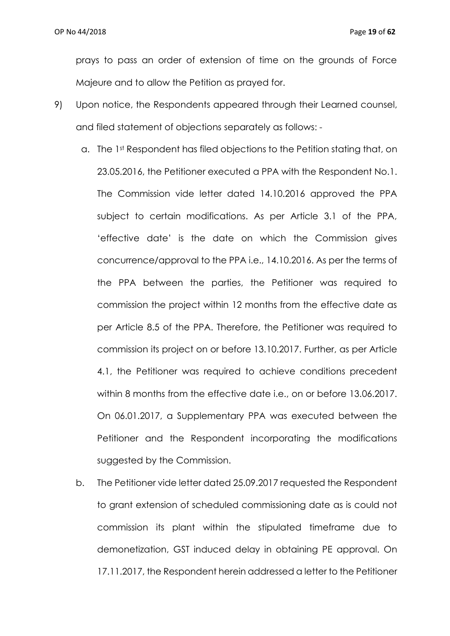prays to pass an order of extension of time on the grounds of Force Majeure and to allow the Petition as prayed for.

- 9) Upon notice, the Respondents appeared through their Learned counsel, and filed statement of objections separately as follows:
	- a. The 1st Respondent has filed objections to the Petition stating that, on 23.05.2016, the Petitioner executed a PPA with the Respondent No.1. The Commission vide letter dated 14.10.2016 approved the PPA subject to certain modifications. As per Article 3.1 of the PPA, 'effective date' is the date on which the Commission gives concurrence/approval to the PPA i.e., 14.10.2016. As per the terms of the PPA between the parties, the Petitioner was required to commission the project within 12 months from the effective date as per Article 8.5 of the PPA. Therefore, the Petitioner was required to commission its project on or before 13.10.2017. Further, as per Article 4.1, the Petitioner was required to achieve conditions precedent within 8 months from the effective date i.e., on or before 13.06.2017. On 06.01.2017, a Supplementary PPA was executed between the Petitioner and the Respondent incorporating the modifications suggested by the Commission.
	- b. The Petitioner vide letter dated 25.09.2017 requested the Respondent to grant extension of scheduled commissioning date as is could not commission its plant within the stipulated timeframe due to demonetization, GST induced delay in obtaining PE approval. On 17.11.2017, the Respondent herein addressed a letter to the Petitioner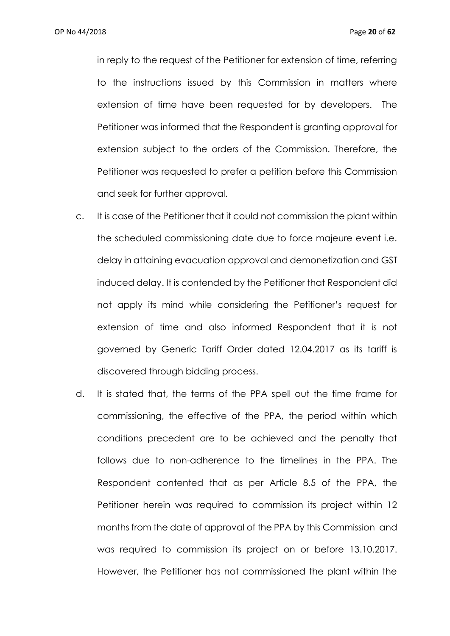in reply to the request of the Petitioner for extension of time, referring to the instructions issued by this Commission in matters where extension of time have been requested for by developers. The Petitioner was informed that the Respondent is granting approval for extension subject to the orders of the Commission. Therefore, the Petitioner was requested to prefer a petition before this Commission and seek for further approval.

- c. It is case of the Petitioner that it could not commission the plant within the scheduled commissioning date due to force majeure event i.e. delay in attaining evacuation approval and demonetization and GST induced delay. It is contended by the Petitioner that Respondent did not apply its mind while considering the Petitioner's request for extension of time and also informed Respondent that it is not governed by Generic Tariff Order dated 12.04.2017 as its tariff is discovered through bidding process.
- d. It is stated that, the terms of the PPA spell out the time frame for commissioning, the effective of the PPA, the period within which conditions precedent are to be achieved and the penalty that follows due to non-adherence to the timelines in the PPA. The Respondent contented that as per Article 8.5 of the PPA, the Petitioner herein was required to commission its project within 12 months from the date of approval of the PPA by this Commission and was required to commission its project on or before 13.10.2017. However, the Petitioner has not commissioned the plant within the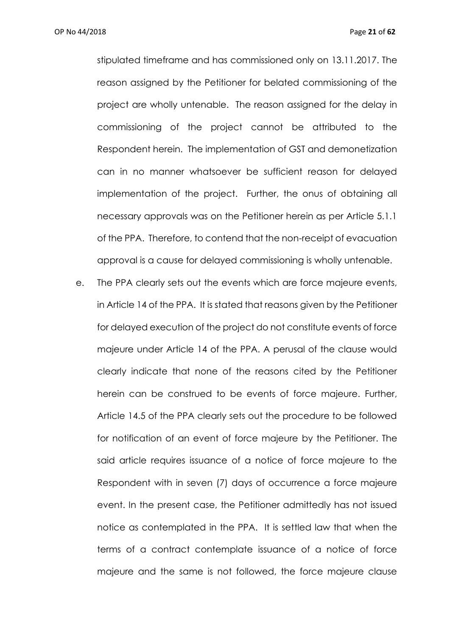stipulated timeframe and has commissioned only on 13.11.2017. The reason assigned by the Petitioner for belated commissioning of the project are wholly untenable. The reason assigned for the delay in commissioning of the project cannot be attributed to the Respondent herein. The implementation of GST and demonetization can in no manner whatsoever be sufficient reason for delayed implementation of the project. Further, the onus of obtaining all necessary approvals was on the Petitioner herein as per Article 5.1.1 of the PPA. Therefore, to contend that the non-receipt of evacuation approval is a cause for delayed commissioning is wholly untenable.

e. The PPA clearly sets out the events which are force majeure events, in Article 14 of the PPA. It is stated that reasons given by the Petitioner for delayed execution of the project do not constitute events of force majeure under Article 14 of the PPA. A perusal of the clause would clearly indicate that none of the reasons cited by the Petitioner herein can be construed to be events of force majeure. Further, Article 14.5 of the PPA clearly sets out the procedure to be followed for notification of an event of force majeure by the Petitioner. The said article requires issuance of a notice of force majeure to the Respondent with in seven (7) days of occurrence a force majeure event. In the present case, the Petitioner admittedly has not issued notice as contemplated in the PPA. It is settled law that when the terms of a contract contemplate issuance of a notice of force majeure and the same is not followed, the force majeure clause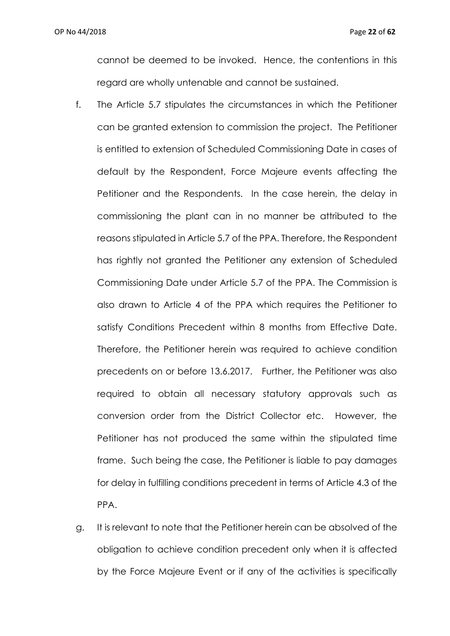cannot be deemed to be invoked. Hence, the contentions in this regard are wholly untenable and cannot be sustained.

- f. The Article 5.7 stipulates the circumstances in which the Petitioner can be granted extension to commission the project. The Petitioner is entitled to extension of Scheduled Commissioning Date in cases of default by the Respondent, Force Majeure events affecting the Petitioner and the Respondents. In the case herein, the delay in commissioning the plant can in no manner be attributed to the reasons stipulated in Article 5.7 of the PPA. Therefore, the Respondent has rightly not granted the Petitioner any extension of Scheduled Commissioning Date under Article 5.7 of the PPA. The Commission is also drawn to Article 4 of the PPA which requires the Petitioner to satisfy Conditions Precedent within 8 months from Effective Date. Therefore, the Petitioner herein was required to achieve condition precedents on or before 13.6.2017. Further, the Petitioner was also required to obtain all necessary statutory approvals such as conversion order from the District Collector etc. However, the Petitioner has not produced the same within the stipulated time frame. Such being the case, the Petitioner is liable to pay damages for delay in fulfilling conditions precedent in terms of Article 4.3 of the PPA.
- g. It is relevant to note that the Petitioner herein can be absolved of the obligation to achieve condition precedent only when it is affected by the Force Majeure Event or if any of the activities is specifically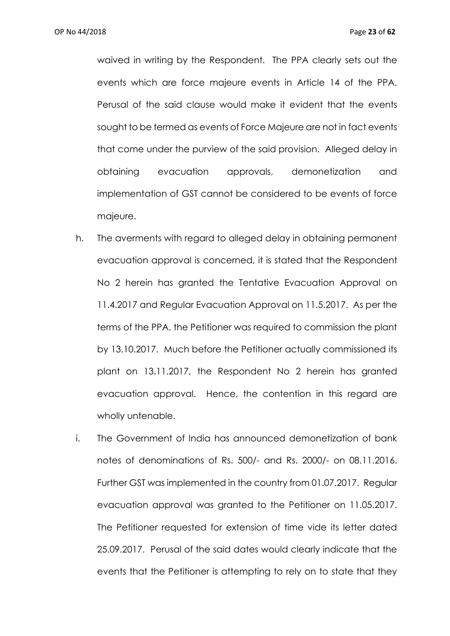waived in writing by the Respondent. The PPA clearly sets out the events which are force majeure events in Article 14 of the PPA. Perusal of the said clause would make it evident that the events sought to be termed as events of Force Majeure are not in fact events that come under the purview of the said provision. Alleged delay in obtaining evacuation approvals, demonetization and implementation of GST cannot be considered to be events of force majeure.

- h. The averments with regard to alleged delay in obtaining permanent evacuation approval is concerned, it is stated that the Respondent No 2 herein has granted the Tentative Evacuation Approval on 11.4.2017 and Regular Evacuation Approval on 11.5.2017. As per the terms of the PPA, the Petitioner was required to commission the plant by 13.10.2017. Much before the Petitioner actually commissioned its plant on 13.11.2017, the Respondent No 2 herein has granted evacuation approval. Hence, the contention in this regard are wholly untenable.
- i. The Government of India has announced demonetization of bank notes of denominations of Rs. 500/- and Rs. 2000/- on 08.11.2016. Further GST was implemented in the country from 01.07.2017. Regular evacuation approval was granted to the Petitioner on 11.05.2017. The Petitioner requested for extension of time vide its letter dated 25.09.2017. Perusal of the said dates would clearly indicate that the events that the Petitioner is attempting to rely on to state that they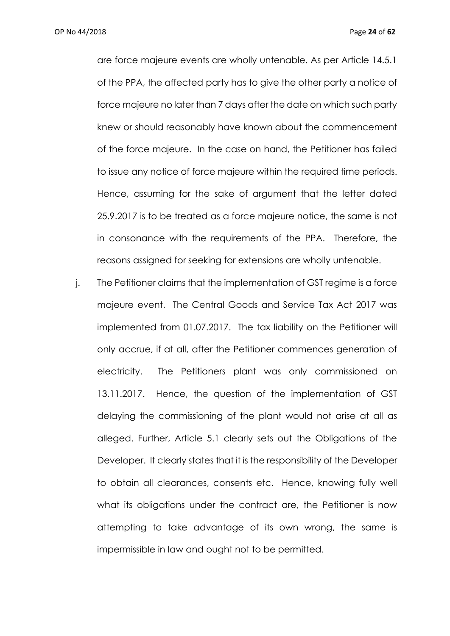OP No 44/2018 Page **24** of **62**

are force majeure events are wholly untenable. As per Article 14.5.1 of the PPA, the affected party has to give the other party a notice of force majeure no later than 7 days after the date on which such party knew or should reasonably have known about the commencement of the force majeure. In the case on hand, the Petitioner has failed to issue any notice of force majeure within the required time periods. Hence, assuming for the sake of argument that the letter dated 25.9.2017 is to be treated as a force majeure notice, the same is not in consonance with the requirements of the PPA. Therefore, the reasons assigned for seeking for extensions are wholly untenable.

j. The Petitioner claims that the implementation of GST regime is a force majeure event. The Central Goods and Service Tax Act 2017 was implemented from 01.07.2017. The tax liability on the Petitioner will only accrue, if at all, after the Petitioner commences generation of electricity. The Petitioners plant was only commissioned on 13.11.2017. Hence, the question of the implementation of GST delaying the commissioning of the plant would not arise at all as alleged. Further, Article 5.1 clearly sets out the Obligations of the Developer. It clearly states that it is the responsibility of the Developer to obtain all clearances, consents etc. Hence, knowing fully well what its obligations under the contract are, the Petitioner is now attempting to take advantage of its own wrong, the same is impermissible in law and ought not to be permitted.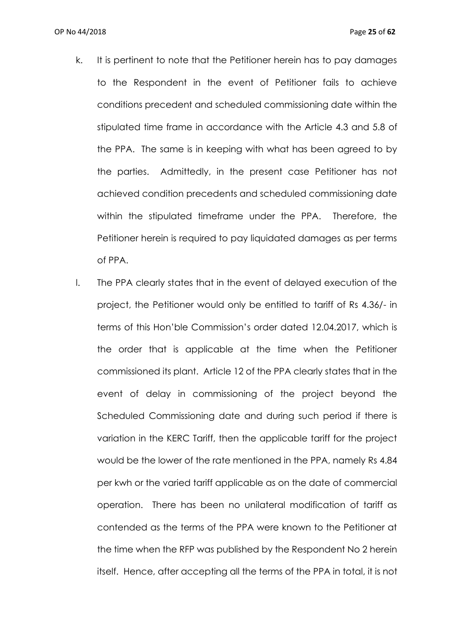- k. It is pertinent to note that the Petitioner herein has to pay damages to the Respondent in the event of Petitioner fails to achieve conditions precedent and scheduled commissioning date within the stipulated time frame in accordance with the Article 4.3 and 5.8 of the PPA. The same is in keeping with what has been agreed to by the parties. Admittedly, in the present case Petitioner has not achieved condition precedents and scheduled commissioning date within the stipulated timeframe under the PPA. Therefore, the Petitioner herein is required to pay liquidated damages as per terms of PPA.
- l. The PPA clearly states that in the event of delayed execution of the project, the Petitioner would only be entitled to tariff of Rs 4.36/- in terms of this Hon'ble Commission's order dated 12.04.2017, which is the order that is applicable at the time when the Petitioner commissioned its plant. Article 12 of the PPA clearly states that in the event of delay in commissioning of the project beyond the Scheduled Commissioning date and during such period if there is variation in the KERC Tariff, then the applicable tariff for the project would be the lower of the rate mentioned in the PPA, namely Rs 4.84 per kwh or the varied tariff applicable as on the date of commercial operation. There has been no unilateral modification of tariff as contended as the terms of the PPA were known to the Petitioner at the time when the RFP was published by the Respondent No 2 herein itself. Hence, after accepting all the terms of the PPA in total, it is not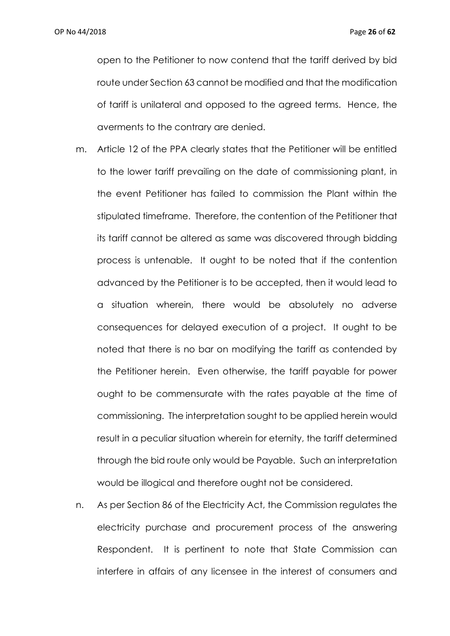open to the Petitioner to now contend that the tariff derived by bid route under Section 63 cannot be modified and that the modification of tariff is unilateral and opposed to the agreed terms. Hence, the averments to the contrary are denied.

- m. Article 12 of the PPA clearly states that the Petitioner will be entitled to the lower tariff prevailing on the date of commissioning plant, in the event Petitioner has failed to commission the Plant within the stipulated timeframe. Therefore, the contention of the Petitioner that its tariff cannot be altered as same was discovered through bidding process is untenable. It ought to be noted that if the contention advanced by the Petitioner is to be accepted, then it would lead to a situation wherein, there would be absolutely no adverse consequences for delayed execution of a project. It ought to be noted that there is no bar on modifying the tariff as contended by the Petitioner herein. Even otherwise, the tariff payable for power ought to be commensurate with the rates payable at the time of commissioning. The interpretation sought to be applied herein would result in a peculiar situation wherein for eternity, the tariff determined through the bid route only would be Payable. Such an interpretation would be illogical and therefore ought not be considered.
- n. As per Section 86 of the Electricity Act, the Commission regulates the electricity purchase and procurement process of the answering Respondent. It is pertinent to note that State Commission can interfere in affairs of any licensee in the interest of consumers and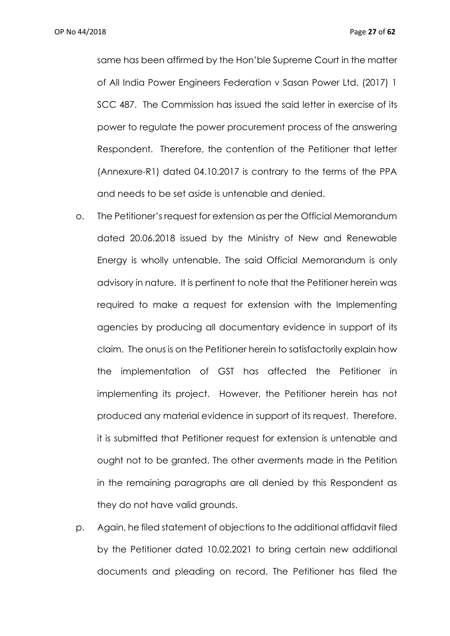same has been affirmed by the Hon'ble Supreme Court in the matter of All India Power Engineers Federation v Sasan Power Ltd, (2017) 1 SCC 487. The Commission has issued the said letter in exercise of its power to regulate the power procurement process of the answering Respondent. Therefore, the contention of the Petitioner that letter (Annexure-R1) dated 04.10.2017 is contrary to the terms of the PPA and needs to be set aside is untenable and denied.

- o. The Petitioner's request for extension as per the Official Memorandum dated 20.06.2018 issued by the Ministry of New and Renewable Energy is wholly untenable. The said Official Memorandum is only advisory in nature. It is pertinent to note that the Petitioner herein was required to make a request for extension with the Implementing agencies by producing all documentary evidence in support of its claim. The onus is on the Petitioner herein to satisfactorily explain how the implementation of GST has affected the Petitioner in implementing its project. However, the Petitioner herein has not produced any material evidence in support of its request. Therefore, it is submitted that Petitioner request for extension is untenable and ought not to be granted. The other averments made in the Petition in the remaining paragraphs are all denied by this Respondent as they do not have valid grounds.
- p. Again, he filed statement of objections to the additional affidavit filed by the Petitioner dated 10.02.2021 to bring certain new additional documents and pleading on record. The Petitioner has filed the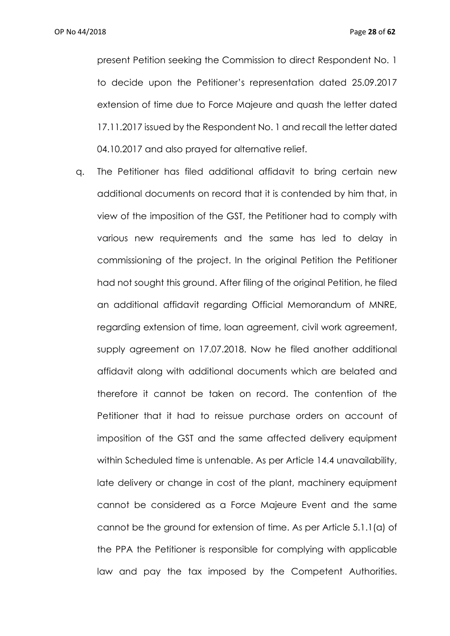present Petition seeking the Commission to direct Respondent No. 1 to decide upon the Petitioner's representation dated 25.09.2017 extension of time due to Force Majeure and quash the letter dated 17.11.2017 issued by the Respondent No. 1 and recall the letter dated 04.10.2017 and also prayed for alternative relief.

q. The Petitioner has filed additional affidavit to bring certain new additional documents on record that it is contended by him that, in view of the imposition of the GST, the Petitioner had to comply with various new requirements and the same has led to delay in commissioning of the project. In the original Petition the Petitioner had not sought this ground. After filing of the original Petition, he filed an additional affidavit regarding Official Memorandum of MNRE, regarding extension of time, loan agreement, civil work agreement, supply agreement on 17.07.2018. Now he filed another additional affidavit along with additional documents which are belated and therefore it cannot be taken on record. The contention of the Petitioner that it had to reissue purchase orders on account of imposition of the GST and the same affected delivery equipment within Scheduled time is untenable. As per Article 14.4 unavailability, late delivery or change in cost of the plant, machinery equipment cannot be considered as a Force Majeure Event and the same cannot be the ground for extension of time. As per Article 5.1.1(a) of the PPA the Petitioner is responsible for complying with applicable law and pay the tax imposed by the Competent Authorities.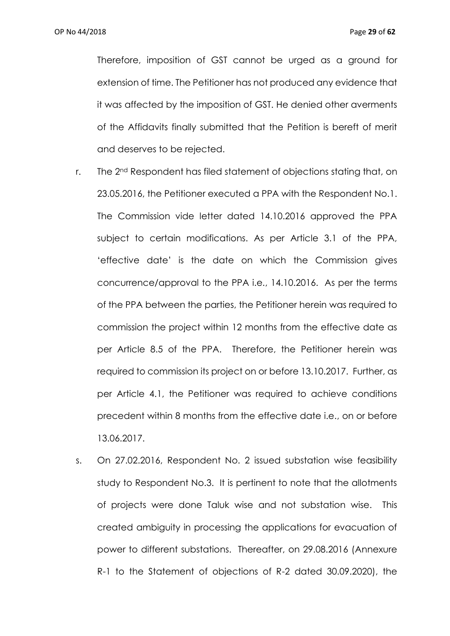Therefore, imposition of GST cannot be urged as a ground for extension of time. The Petitioner has not produced any evidence that it was affected by the imposition of GST. He denied other averments of the Affidavits finally submitted that the Petition is bereft of merit and deserves to be rejected.

- r. The 2<sup>nd</sup> Respondent has filed statement of objections stating that, on 23.05.2016, the Petitioner executed a PPA with the Respondent No.1. The Commission vide letter dated 14.10.2016 approved the PPA subject to certain modifications. As per Article 3.1 of the PPA, 'effective date' is the date on which the Commission gives concurrence/approval to the PPA i.e., 14.10.2016. As per the terms of the PPA between the parties, the Petitioner herein was required to commission the project within 12 months from the effective date as per Article 8.5 of the PPA. Therefore, the Petitioner herein was required to commission its project on or before 13.10.2017. Further, as per Article 4.1, the Petitioner was required to achieve conditions precedent within 8 months from the effective date i.e., on or before 13.06.2017.
- s. On 27.02.2016, Respondent No. 2 issued substation wise feasibility study to Respondent No.3. It is pertinent to note that the allotments of projects were done Taluk wise and not substation wise. This created ambiguity in processing the applications for evacuation of power to different substations. Thereafter, on 29.08.2016 (Annexure R-1 to the Statement of objections of R-2 dated 30.09.2020), the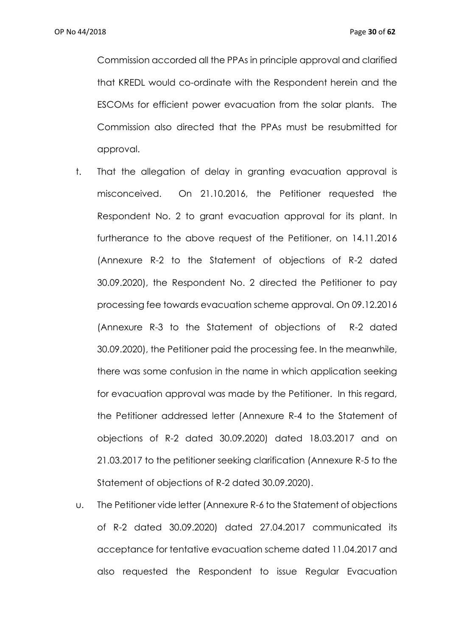Commission accorded all the PPAs in principle approval and clarified that KREDL would co-ordinate with the Respondent herein and the ESCOMs for efficient power evacuation from the solar plants. The Commission also directed that the PPAs must be resubmitted for approval.

- t. That the allegation of delay in granting evacuation approval is misconceived. On 21.10.2016, the Petitioner requested the Respondent No. 2 to grant evacuation approval for its plant. In furtherance to the above request of the Petitioner, on 14.11.2016 (Annexure R-2 to the Statement of objections of R-2 dated 30.09.2020), the Respondent No. 2 directed the Petitioner to pay processing fee towards evacuation scheme approval. On 09.12.2016 (Annexure R-3 to the Statement of objections of R-2 dated 30.09.2020), the Petitioner paid the processing fee. In the meanwhile, there was some confusion in the name in which application seeking for evacuation approval was made by the Petitioner. In this regard, the Petitioner addressed letter (Annexure R-4 to the Statement of objections of R-2 dated 30.09.2020) dated 18.03.2017 and on 21.03.2017 to the petitioner seeking clarification (Annexure R-5 to the Statement of objections of R-2 dated 30.09.2020).
- u. The Petitioner vide letter (Annexure R-6 to the Statement of objections of R-2 dated 30.09.2020) dated 27.04.2017 communicated its acceptance for tentative evacuation scheme dated 11.04.2017 and also requested the Respondent to issue Regular Evacuation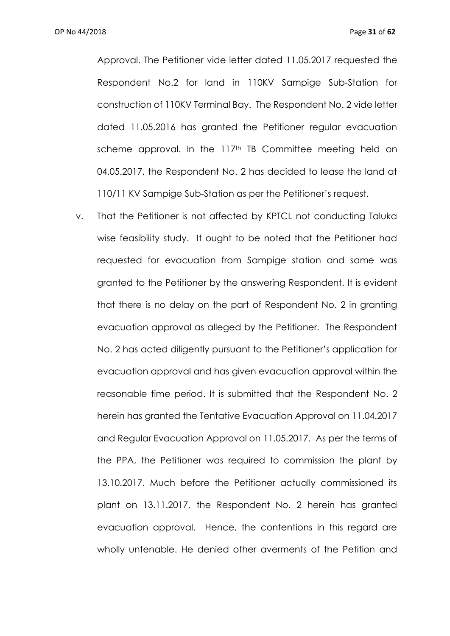Approval. The Petitioner vide letter dated 11.05.2017 requested the Respondent No.2 for land in 110KV Sampige Sub-Station for construction of 110KV Terminal Bay. The Respondent No. 2 vide letter dated 11.05.2016 has granted the Petitioner regular evacuation scheme approval. In the 117<sup>th</sup> TB Committee meeting held on 04.05.2017, the Respondent No. 2 has decided to lease the land at 110/11 KV Sampige Sub-Station as per the Petitioner's request.

v. That the Petitioner is not affected by KPTCL not conducting Taluka wise feasibility study. It ought to be noted that the Petitioner had requested for evacuation from Sampige station and same was granted to the Petitioner by the answering Respondent. It is evident that there is no delay on the part of Respondent No. 2 in granting evacuation approval as alleged by the Petitioner. The Respondent No. 2 has acted diligently pursuant to the Petitioner's application for evacuation approval and has given evacuation approval within the reasonable time period. It is submitted that the Respondent No. 2 herein has granted the Tentative Evacuation Approval on 11.04.2017 and Regular Evacuation Approval on 11.05.2017. As per the terms of the PPA, the Petitioner was required to commission the plant by 13.10.2017. Much before the Petitioner actually commissioned its plant on 13.11.2017, the Respondent No. 2 herein has granted evacuation approval. Hence, the contentions in this regard are wholly untenable. He denied other averments of the Petition and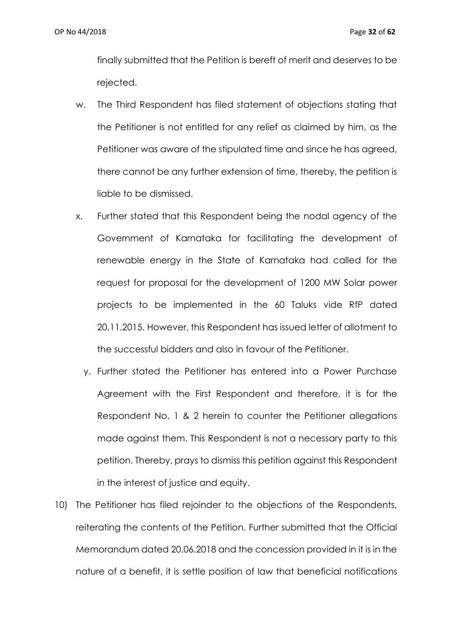finally submitted that the Petition is bereft of merit and deserves to be rejected.

- w. The Third Respondent has filed statement of objections stating that the Petitioner is not entitled for any relief as claimed by him, as the Petitioner was aware of the stipulated time and since he has agreed, there cannot be any further extension of time, thereby, the petition is liable to be dismissed.
- x. Further stated that this Respondent being the nodal agency of the Government of Karnataka for facilitating the development of renewable energy in the State of Karnataka had called for the request for proposal for the development of 1200 MW Solar power projects to be implemented in the 60 Taluks vide RfP dated 20.11.2015. However, this Respondent has issued letter of allotment to the successful bidders and also in favour of the Petitioner.
	- y. Further stated the Petitioner has entered into a Power Purchase Agreement with the First Respondent and therefore, it is for the Respondent No. 1 & 2 herein to counter the Petitioner allegations made against them. This Respondent is not a necessary party to this petition. Thereby, prays to dismiss this petition against this Respondent in the interest of justice and equity.
- 10) The Petitioner has filed rejoinder to the objections of the Respondents, reiterating the contents of the Petition. Further submitted that the Official Memorandum dated 20.06.2018 and the concession provided in it is in the nature of a benefit, it is settle position of law that beneficial notifications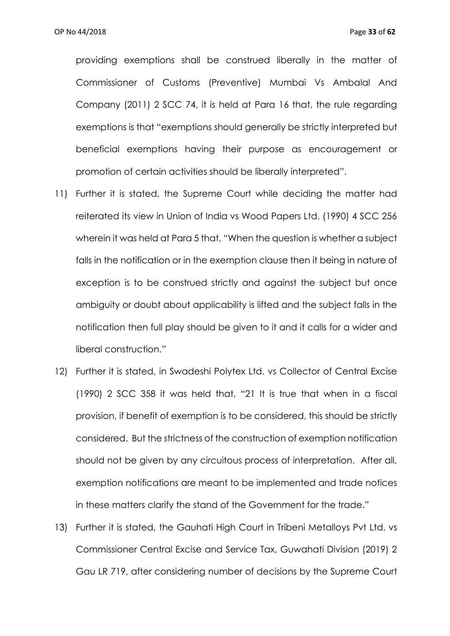providing exemptions shall be construed liberally in the matter of Commissioner of Customs (Preventive) Mumbai Vs Ambalal And Company (2011) 2 SCC 74, it is held at Para 16 that, the rule regarding exemptions is that "exemptions should generally be strictly interpreted but beneficial exemptions having their purpose as encouragement or promotion of certain activities should be liberally interpreted".

- 11) Further it is stated, the Supreme Court while deciding the matter had reiterated its view in Union of India vs Wood Papers Ltd. (1990) 4 SCC 256 wherein it was held at Para 5 that, "When the question is whether a subject falls in the notification or in the exemption clause then it being in nature of exception is to be construed strictly and against the subject but once ambiguity or doubt about applicability is lifted and the subject falls in the notification then full play should be given to it and it calls for a wider and liberal construction."
- 12) Further it is stated, in Swadeshi Polytex Ltd. vs Collector of Central Excise (1990) 2 SCC 358 it was held that, "21 It is true that when in a fiscal provision, if benefit of exemption is to be considered, this should be strictly considered. But the strictness of the construction of exemption notification should not be given by any circuitous process of interpretation. After all, exemption notifications are meant to be implemented and trade notices in these matters clarify the stand of the Government for the trade."
- 13) Further it is stated, the Gauhati High Court in Tribeni Metalloys Pvt Ltd. vs Commissioner Central Excise and Service Tax, Guwahati Division (2019) 2 Gau LR 719, after considering number of decisions by the Supreme Court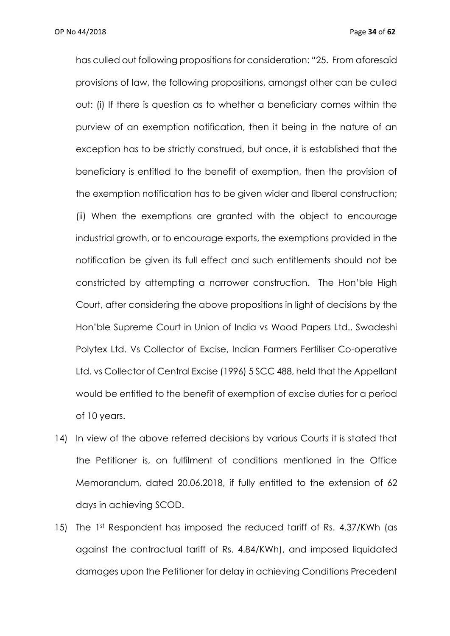OP No 44/2018 Page **34** of **62**

has culled out following propositions for consideration: "25. From aforesaid provisions of law, the following propositions, amongst other can be culled out: (i) If there is question as to whether a beneficiary comes within the purview of an exemption notification, then it being in the nature of an exception has to be strictly construed, but once, it is established that the beneficiary is entitled to the benefit of exemption, then the provision of the exemption notification has to be given wider and liberal construction; (ii) When the exemptions are granted with the object to encourage industrial growth, or to encourage exports, the exemptions provided in the notification be given its full effect and such entitlements should not be constricted by attempting a narrower construction. The Hon'ble High Court, after considering the above propositions in light of decisions by the Hon'ble Supreme Court in Union of India vs Wood Papers Ltd., Swadeshi Polytex Ltd. Vs Collector of Excise, Indian Farmers Fertiliser Co-operative Ltd. vs Collector of Central Excise (1996) 5 SCC 488, held that the Appellant would be entitled to the benefit of exemption of excise duties for a period of 10 years.

- 14) In view of the above referred decisions by various Courts it is stated that the Petitioner is, on fulfilment of conditions mentioned in the Office Memorandum, dated 20.06.2018, if fully entitled to the extension of 62 days in achieving SCOD.
- 15) The 1st Respondent has imposed the reduced tariff of Rs. 4.37/KWh (as against the contractual tariff of Rs. 4.84/KWh), and imposed liquidated damages upon the Petitioner for delay in achieving Conditions Precedent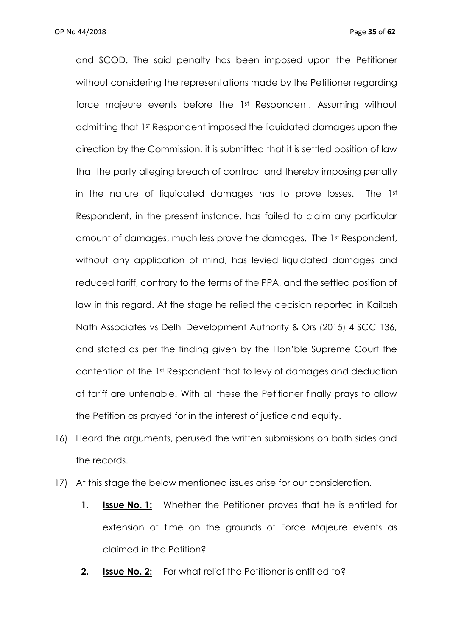and SCOD. The said penalty has been imposed upon the Petitioner without considering the representations made by the Petitioner regarding force majeure events before the 1st Respondent. Assuming without admitting that 1st Respondent imposed the liquidated damages upon the direction by the Commission, it is submitted that it is settled position of law that the party alleging breach of contract and thereby imposing penalty in the nature of liquidated damages has to prove losses. The 1st Respondent, in the present instance, has failed to claim any particular amount of damages, much less prove the damages. The 1st Respondent, without any application of mind, has levied liquidated damages and reduced tariff, contrary to the terms of the PPA, and the settled position of law in this regard. At the stage he relied the decision reported in Kailash Nath Associates vs Delhi Development Authority & Ors (2015) 4 SCC 136, and stated as per the finding given by the Hon'ble Supreme Court the contention of the 1st Respondent that to levy of damages and deduction of tariff are untenable. With all these the Petitioner finally prays to allow the Petition as prayed for in the interest of justice and equity.

- 16) Heard the arguments, perused the written submissions on both sides and the records.
- 17) At this stage the below mentioned issues arise for our consideration.
	- **1. Issue No. 1:** Whether the Petitioner proves that he is entitled for extension of time on the grounds of Force Majeure events as claimed in the Petition?
	- **2. Issue No. 2:** For what relief the Petitioner is entitled to?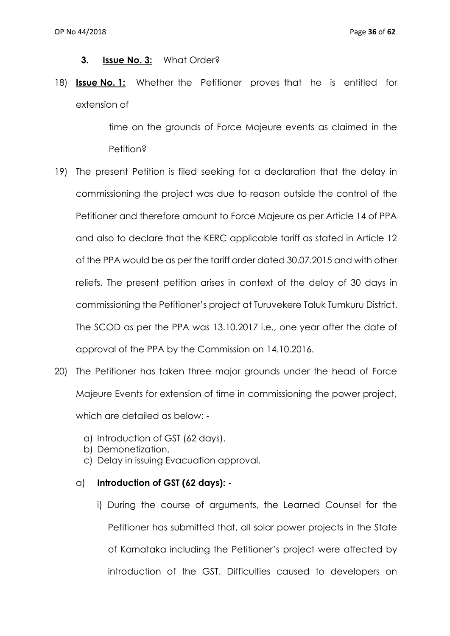#### **3. Issue No. 3:** What Order?

18) **Issue No. 1:** Whether the Petitioner proves that he is entitled for extension of

> time on the grounds of Force Majeure events as claimed in the Petition?

- 19) The present Petition is filed seeking for a declaration that the delay in commissioning the project was due to reason outside the control of the Petitioner and therefore amount to Force Majeure as per Article 14 of PPA and also to declare that the KERC applicable tariff as stated in Article 12 of the PPA would be as per the tariff order dated 30.07.2015 and with other reliefs. The present petition arises in context of the delay of 30 days in commissioning the Petitioner's project at Turuvekere Taluk Tumkuru District. The SCOD as per the PPA was 13.10.2017 i.e., one year after the date of approval of the PPA by the Commission on 14.10.2016.
- 20) The Petitioner has taken three major grounds under the head of Force Majeure Events for extension of time in commissioning the power project, which are detailed as below:
	- a) Introduction of GST (62 days).
	- b) Demonetization.
	- c) Delay in issuing Evacuation approval.

## a) **Introduction of GST (62 days): -**

i) During the course of arguments, the Learned Counsel for the Petitioner has submitted that, all solar power projects in the State of Karnataka including the Petitioner's project were affected by introduction of the GST. Difficulties caused to developers on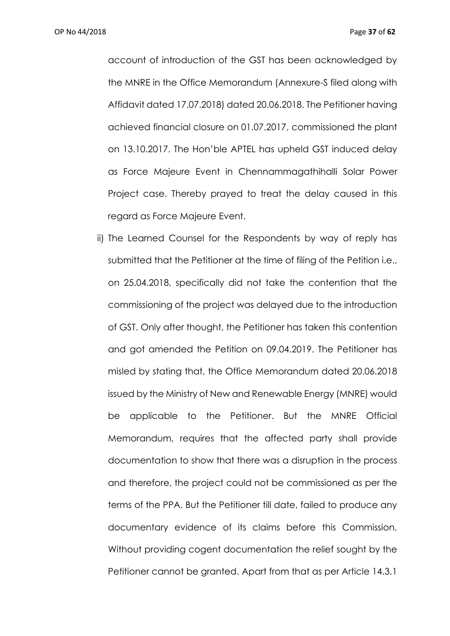OP No 44/2018 Page **37** of **62**

account of introduction of the GST has been acknowledged by the MNRE in the Office Memorandum (Annexure-S filed along with Affidavit dated 17.07.2018) dated 20.06.2018. The Petitioner having achieved financial closure on 01.07.2017, commissioned the plant on 13.10.2017. The Hon'ble APTEL has upheld GST induced delay as Force Majeure Event in Chennammagathihalli Solar Power Project case. Thereby prayed to treat the delay caused in this regard as Force Majeure Event.

ii) The Learned Counsel for the Respondents by way of reply has submitted that the Petitioner at the time of filing of the Petition i.e., on 25.04.2018, specifically did not take the contention that the commissioning of the project was delayed due to the introduction of GST. Only after thought, the Petitioner has taken this contention and got amended the Petition on 09.04.2019. The Petitioner has misled by stating that, the Office Memorandum dated 20.06.2018 issued by the Ministry of New and Renewable Energy (MNRE) would be applicable to the Petitioner. But the MNRE Official Memorandum, requires that the affected party shall provide documentation to show that there was a disruption in the process and therefore, the project could not be commissioned as per the terms of the PPA. But the Petitioner till date, failed to produce any documentary evidence of its claims before this Commission. Without providing cogent documentation the relief sought by the Petitioner cannot be granted. Apart from that as per Article 14.3.1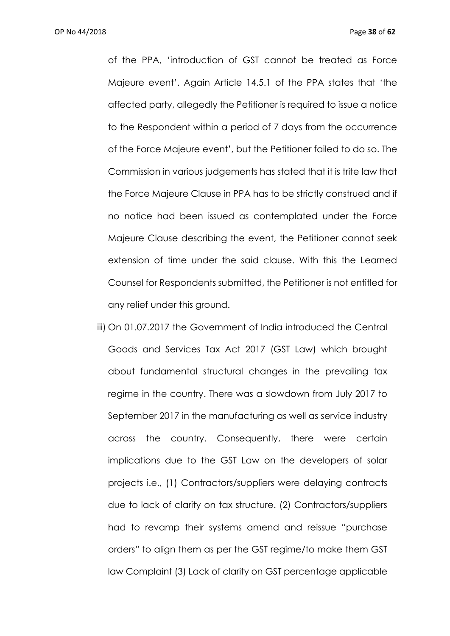of the PPA, 'introduction of GST cannot be treated as Force Majeure event'. Again Article 14.5.1 of the PPA states that 'the affected party, allegedly the Petitioner is required to issue a notice to the Respondent within a period of 7 days from the occurrence of the Force Majeure event', but the Petitioner failed to do so. The Commission in various judgements has stated that it is trite law that the Force Majeure Clause in PPA has to be strictly construed and if no notice had been issued as contemplated under the Force Majeure Clause describing the event, the Petitioner cannot seek extension of time under the said clause. With this the Learned Counsel for Respondents submitted, the Petitioner is not entitled for any relief under this ground.

iii) On 01.07.2017 the Government of India introduced the Central Goods and Services Tax Act 2017 (GST Law) which brought about fundamental structural changes in the prevailing tax regime in the country. There was a slowdown from July 2017 to September 2017 in the manufacturing as well as service industry across the country. Consequently, there were certain implications due to the GST Law on the developers of solar projects i.e., (1) Contractors/suppliers were delaying contracts due to lack of clarity on tax structure. (2) Contractors/suppliers had to revamp their systems amend and reissue "purchase orders" to align them as per the GST regime/to make them GST law Complaint (3) Lack of clarity on GST percentage applicable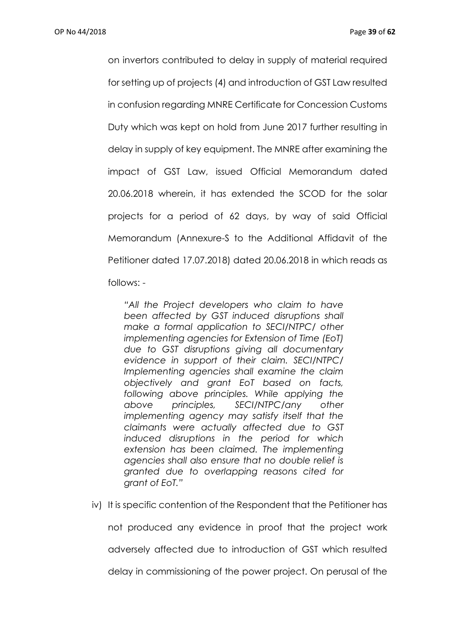on invertors contributed to delay in supply of material required for setting up of projects (4) and introduction of GST Law resulted in confusion regarding MNRE Certificate for Concession Customs Duty which was kept on hold from June 2017 further resulting in delay in supply of key equipment. The MNRE after examining the impact of GST Law, issued Official Memorandum dated 20.06.2018 wherein, it has extended the SCOD for the solar projects for a period of 62 days, by way of said Official Memorandum (Annexure-S to the Additional Affidavit of the Petitioner dated 17.07.2018) dated 20.06.2018 in which reads as follows: -

*"All the Project developers who claim to have been affected by GST induced disruptions shall make a formal application to SECI/NTPC/ other implementing agencies for Extension of Time (EoT) due to GST disruptions giving all documentary evidence in support of their claim. SECI/NTPC/ Implementing agencies shall examine the claim objectively and grant EoT based on facts, following above principles. While applying the above principles, SECI/NTPC/any other implementing agency may satisfy itself that the claimants were actually affected due to GST induced disruptions in the period for which extension has been claimed. The implementing agencies shall also ensure that no double relief is granted due to overlapping reasons cited for grant of EoT."*

iv) It is specific contention of the Respondent that the Petitioner has

not produced any evidence in proof that the project work

adversely affected due to introduction of GST which resulted

delay in commissioning of the power project. On perusal of the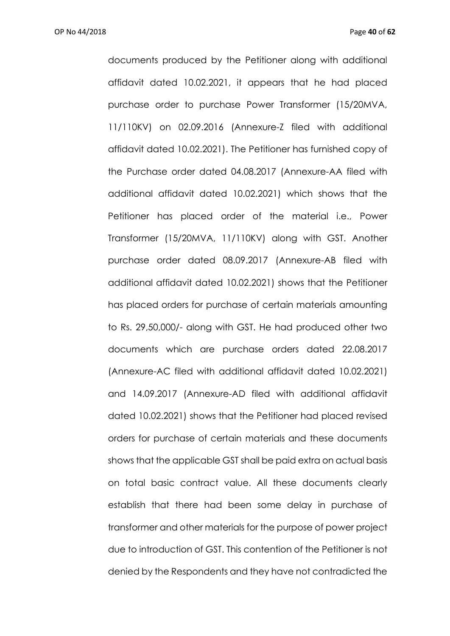OP No 44/2018 Page **40** of **62**

documents produced by the Petitioner along with additional affidavit dated 10.02.2021, it appears that he had placed purchase order to purchase Power Transformer (15/20MVA, 11/110KV) on 02.09.2016 (Annexure-Z filed with additional affidavit dated 10.02.2021). The Petitioner has furnished copy of the Purchase order dated 04.08.2017 (Annexure-AA filed with additional affidavit dated 10.02.2021) which shows that the Petitioner has placed order of the material i.e., Power Transformer (15/20MVA, 11/110KV) along with GST. Another purchase order dated 08.09.2017 (Annexure-AB filed with additional affidavit dated 10.02.2021) shows that the Petitioner has placed orders for purchase of certain materials amounting to Rs. 29,50,000/- along with GST. He had produced other two documents which are purchase orders dated 22.08.2017 (Annexure-AC filed with additional affidavit dated 10.02.2021) and 14.09.2017 (Annexure-AD filed with additional affidavit dated 10.02.2021) shows that the Petitioner had placed revised orders for purchase of certain materials and these documents shows that the applicable GST shall be paid extra on actual basis on total basic contract value. All these documents clearly establish that there had been some delay in purchase of transformer and other materials for the purpose of power project due to introduction of GST. This contention of the Petitioner is not denied by the Respondents and they have not contradicted the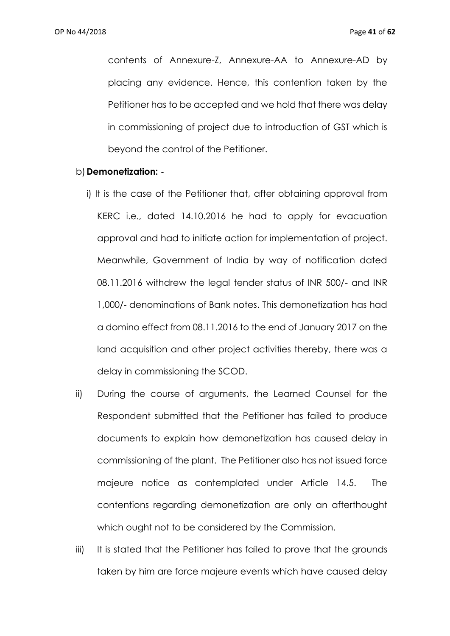contents of Annexure-Z, Annexure-AA to Annexure-AD by placing any evidence. Hence, this contention taken by the Petitioner has to be accepted and we hold that there was delay in commissioning of project due to introduction of GST which is beyond the control of the Petitioner.

#### b) **Demonetization: -**

- i) It is the case of the Petitioner that, after obtaining approval from KERC i.e., dated 14.10.2016 he had to apply for evacuation approval and had to initiate action for implementation of project. Meanwhile, Government of India by way of notification dated 08.11.2016 withdrew the legal tender status of INR 500/- and INR 1,000/- denominations of Bank notes. This demonetization has had a domino effect from 08.11.2016 to the end of January 2017 on the land acquisition and other project activities thereby, there was a delay in commissioning the SCOD.
- ii) During the course of arguments, the Learned Counsel for the Respondent submitted that the Petitioner has failed to produce documents to explain how demonetization has caused delay in commissioning of the plant. The Petitioner also has not issued force majeure notice as contemplated under Article 14.5. The contentions regarding demonetization are only an afterthought which ought not to be considered by the Commission.
- iii) It is stated that the Petitioner has failed to prove that the grounds taken by him are force majeure events which have caused delay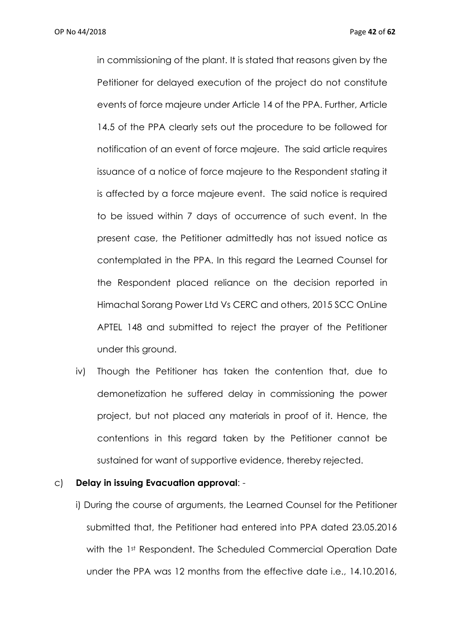in commissioning of the plant. It is stated that reasons given by the Petitioner for delayed execution of the project do not constitute events of force majeure under Article 14 of the PPA. Further, Article 14.5 of the PPA clearly sets out the procedure to be followed for notification of an event of force majeure. The said article requires issuance of a notice of force majeure to the Respondent stating it is affected by a force majeure event. The said notice is required to be issued within 7 days of occurrence of such event. In the present case, the Petitioner admittedly has not issued notice as contemplated in the PPA. In this regard the Learned Counsel for the Respondent placed reliance on the decision reported in Himachal Sorang Power Ltd Vs CERC and others, 2015 SCC OnLine APTEL 148 and submitted to reject the prayer of the Petitioner under this ground.

iv) Though the Petitioner has taken the contention that, due to demonetization he suffered delay in commissioning the power project, but not placed any materials in proof of it. Hence, the contentions in this regard taken by the Petitioner cannot be sustained for want of supportive evidence, thereby rejected.

#### c) **Delay in issuing Evacuation approval**: -

i) During the course of arguments, the Learned Counsel for the Petitioner submitted that, the Petitioner had entered into PPA dated 23.05.2016 with the 1st Respondent. The Scheduled Commercial Operation Date under the PPA was 12 months from the effective date i.e., 14.10.2016,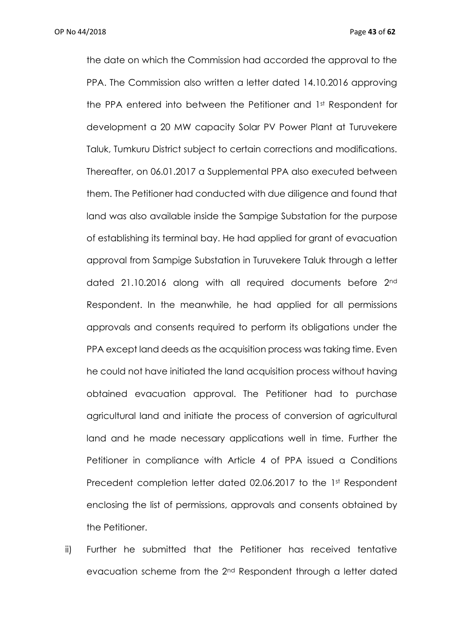OP No 44/2018 Page **43** of **62**

the date on which the Commission had accorded the approval to the PPA. The Commission also written a letter dated 14.10.2016 approving the PPA entered into between the Petitioner and 1st Respondent for development a 20 MW capacity Solar PV Power Plant at Turuvekere Taluk, Tumkuru District subject to certain corrections and modifications. Thereafter, on 06.01.2017 a Supplemental PPA also executed between them. The Petitioner had conducted with due diligence and found that land was also available inside the Sampige Substation for the purpose of establishing its terminal bay. He had applied for grant of evacuation approval from Sampige Substation in Turuvekere Taluk through a letter dated 21.10.2016 along with all required documents before 2nd Respondent. In the meanwhile, he had applied for all permissions approvals and consents required to perform its obligations under the PPA except land deeds as the acquisition process was taking time. Even he could not have initiated the land acquisition process without having obtained evacuation approval. The Petitioner had to purchase agricultural land and initiate the process of conversion of agricultural land and he made necessary applications well in time. Further the Petitioner in compliance with Article 4 of PPA issued a Conditions Precedent completion letter dated 02.06.2017 to the 1st Respondent enclosing the list of permissions, approvals and consents obtained by the Petitioner.

ii) Further he submitted that the Petitioner has received tentative evacuation scheme from the 2<sup>nd</sup> Respondent through a letter dated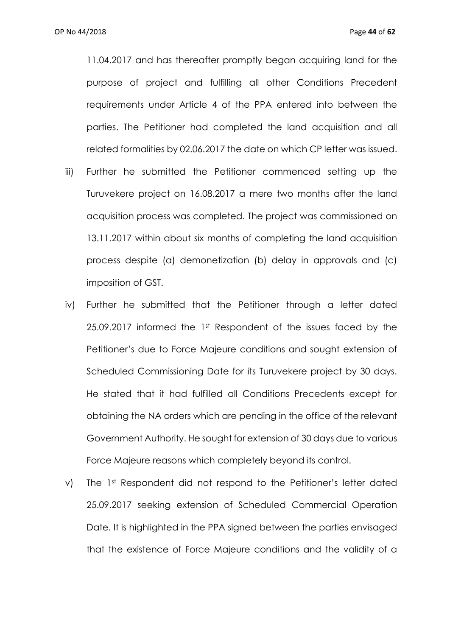11.04.2017 and has thereafter promptly began acquiring land for the purpose of project and fulfilling all other Conditions Precedent requirements under Article 4 of the PPA entered into between the parties. The Petitioner had completed the land acquisition and all related formalities by 02.06.2017 the date on which CP letter was issued.

- iii) Further he submitted the Petitioner commenced setting up the Turuvekere project on 16.08.2017 a mere two months after the land acquisition process was completed. The project was commissioned on 13.11.2017 within about six months of completing the land acquisition process despite (a) demonetization (b) delay in approvals and (c) imposition of GST.
- iv) Further he submitted that the Petitioner through a letter dated 25.09.2017 informed the 1st Respondent of the issues faced by the Petitioner's due to Force Majeure conditions and sought extension of Scheduled Commissioning Date for its Turuvekere project by 30 days. He stated that it had fulfilled all Conditions Precedents except for obtaining the NA orders which are pending in the office of the relevant Government Authority. He sought for extension of 30 days due to various Force Majeure reasons which completely beyond its control.
- v) The 1st Respondent did not respond to the Petitioner's letter dated 25.09.2017 seeking extension of Scheduled Commercial Operation Date. It is highlighted in the PPA signed between the parties envisaged that the existence of Force Majeure conditions and the validity of a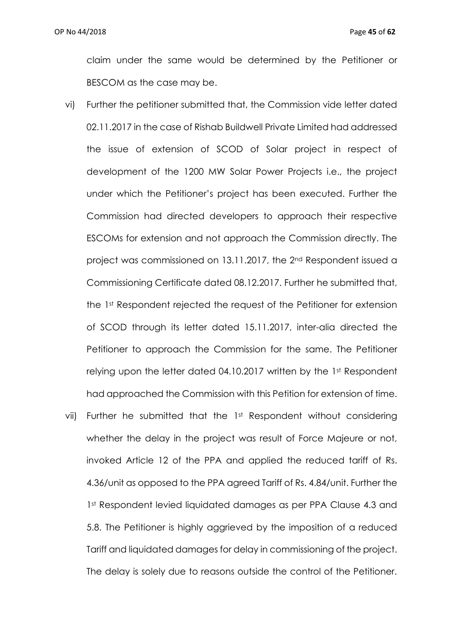claim under the same would be determined by the Petitioner or BESCOM as the case may be.

- vi) Further the petitioner submitted that, the Commission vide letter dated 02.11.2017 in the case of Rishab Buildwell Private Limited had addressed the issue of extension of SCOD of Solar project in respect of development of the 1200 MW Solar Power Projects i.e., the project under which the Petitioner's project has been executed. Further the Commission had directed developers to approach their respective ESCOMs for extension and not approach the Commission directly. The project was commissioned on 13.11.2017, the 2nd Respondent issued a Commissioning Certificate dated 08.12.2017. Further he submitted that, the 1st Respondent rejected the request of the Petitioner for extension of SCOD through its letter dated 15.11.2017, inter-alia directed the Petitioner to approach the Commission for the same. The Petitioner relying upon the letter dated 04.10.2017 written by the 1st Respondent had approached the Commission with this Petition for extension of time.
- vii) Further he submitted that the 1st Respondent without considering whether the delay in the project was result of Force Majeure or not, invoked Article 12 of the PPA and applied the reduced tariff of Rs. 4.36/unit as opposed to the PPA agreed Tariff of Rs. 4.84/unit. Further the 1st Respondent levied liquidated damages as per PPA Clause 4.3 and 5.8. The Petitioner is highly aggrieved by the imposition of a reduced Tariff and liquidated damages for delay in commissioning of the project. The delay is solely due to reasons outside the control of the Petitioner.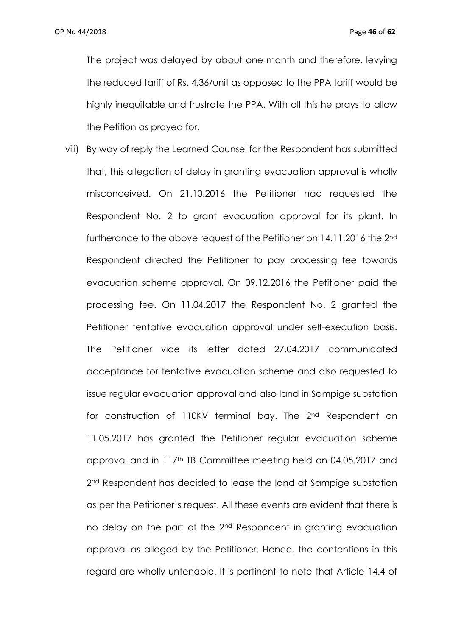The project was delayed by about one month and therefore, levying the reduced tariff of Rs. 4.36/unit as opposed to the PPA tariff would be highly inequitable and frustrate the PPA. With all this he prays to allow the Petition as prayed for.

viii) By way of reply the Learned Counsel for the Respondent has submitted that, this allegation of delay in granting evacuation approval is wholly misconceived. On 21.10.2016 the Petitioner had requested the Respondent No. 2 to grant evacuation approval for its plant. In furtherance to the above request of the Petitioner on 14.11.2016 the 2nd Respondent directed the Petitioner to pay processing fee towards evacuation scheme approval. On 09.12.2016 the Petitioner paid the processing fee. On 11.04.2017 the Respondent No. 2 granted the Petitioner tentative evacuation approval under self-execution basis. The Petitioner vide its letter dated 27.04.2017 communicated acceptance for tentative evacuation scheme and also requested to issue regular evacuation approval and also land in Sampige substation for construction of 110KV terminal bay. The 2<sup>nd</sup> Respondent on 11.05.2017 has granted the Petitioner regular evacuation scheme approval and in 117th TB Committee meeting held on 04.05.2017 and 2<sup>nd</sup> Respondent has decided to lease the land at Sampige substation as per the Petitioner's request. All these events are evident that there is no delay on the part of the 2nd Respondent in granting evacuation approval as alleged by the Petitioner. Hence, the contentions in this regard are wholly untenable. It is pertinent to note that Article 14.4 of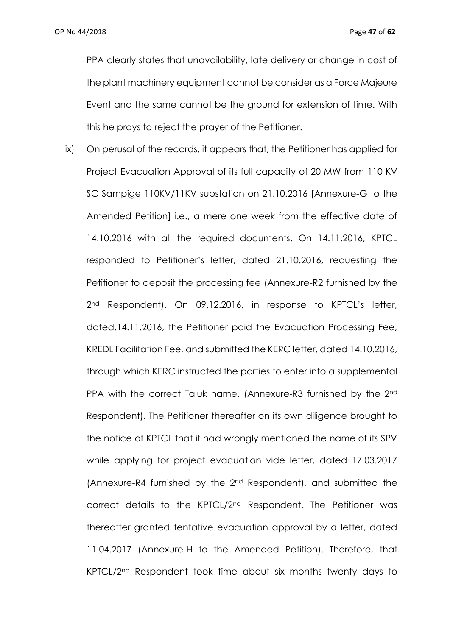PPA clearly states that unavailability, late delivery or change in cost of the plant machinery equipment cannot be consider as a Force Majeure Event and the same cannot be the ground for extension of time. With this he prays to reject the prayer of the Petitioner.

ix) On perusal of the records, it appears that, the Petitioner has applied for Project Evacuation Approval of its full capacity of 20 MW from 110 KV SC Sampige 110KV/11KV substation on 21.10.2016 [Annexure-G to the Amended Petition] i.e., a mere one week from the effective date of 14.10.2016 with all the required documents. On 14.11.2016, KPTCL responded to Petitioner's letter, dated 21.10.2016, requesting the Petitioner to deposit the processing fee (Annexure-R2 furnished by the 2<sup>nd</sup> Respondent). On 09.12.2016, in response to KPTCL's letter, dated.14.11.2016, the Petitioner paid the Evacuation Processing Fee, KREDL Facilitation Fee, and submitted the KERC letter, dated 14.10.2016, through which KERC instructed the parties to enter into a supplemental PPA with the correct Taluk name**.** (Annexure-R3 furnished by the 2nd Respondent). The Petitioner thereafter on its own diligence brought to the notice of KPTCL that it had wrongly mentioned the name of its SPV while applying for project evacuation vide letter, dated 17.03.2017 (Annexure-R4 furnished by the 2nd Respondent), and submitted the correct details to the KPTCL/2nd Respondent. The Petitioner was thereafter granted tentative evacuation approval by a letter, dated 11.04.2017 (Annexure-H to the Amended Petition). Therefore, that KPTCL/2nd Respondent took time about six months twenty days to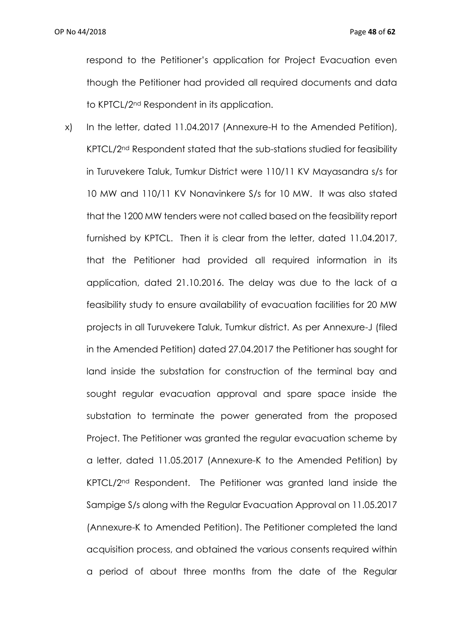respond to the Petitioner's application for Project Evacuation even though the Petitioner had provided all required documents and data to KPTCL/2nd Respondent in its application.

x) In the letter, dated 11.04.2017 (Annexure-H to the Amended Petition), KPTCL/2nd Respondent stated that the sub-stations studied for feasibility in Turuvekere Taluk, Tumkur District were 110/11 KV Mayasandra s/s for 10 MW and 110/11 KV Nonavinkere S/s for 10 MW. It was also stated that the 1200 MW tenders were not called based on the feasibility report furnished by KPTCL. Then it is clear from the letter, dated 11.04.2017, that the Petitioner had provided all required information in its application, dated 21.10.2016. The delay was due to the lack of a feasibility study to ensure availability of evacuation facilities for 20 MW projects in all Turuvekere Taluk, Tumkur district. As per Annexure-J (filed in the Amended Petition) dated 27.04.2017 the Petitioner has sought for land inside the substation for construction of the terminal bay and sought regular evacuation approval and spare space inside the substation to terminate the power generated from the proposed Project. The Petitioner was granted the regular evacuation scheme by a letter, dated 11.05.2017 (Annexure-K to the Amended Petition) by KPTCL/2nd Respondent. The Petitioner was granted land inside the Sampige S/s along with the Regular Evacuation Approval on 11.05.2017 (Annexure-K to Amended Petition). The Petitioner completed the land acquisition process, and obtained the various consents required within a period of about three months from the date of the Regular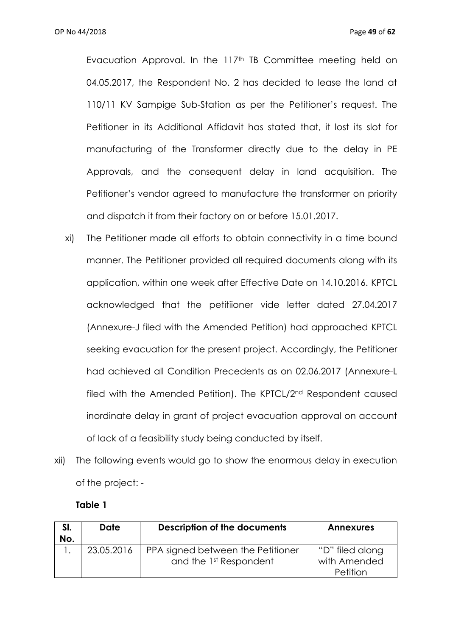Evacuation Approval. In the 117<sup>th</sup> TB Committee meeting held on 04.05.2017, the Respondent No. 2 has decided to lease the land at 110/11 KV Sampige Sub-Station as per the Petitioner's request. The Petitioner in its Additional Affidavit has stated that, it lost its slot for manufacturing of the Transformer directly due to the delay in PE Approvals, and the consequent delay in land acquisition. The Petitioner's vendor agreed to manufacture the transformer on priority and dispatch it from their factory on or before 15.01.2017.

- xi) The Petitioner made all efforts to obtain connectivity in a time bound manner. The Petitioner provided all required documents along with its application, within one week after Effective Date on 14.10.2016. KPTCL acknowledged that the petitiioner vide letter dated 27.04.2017 (Annexure-J filed with the Amended Petition) had approached KPTCL seeking evacuation for the present project. Accordingly, the Petitioner had achieved all Condition Precedents as on 02.06.2017 (Annexure-L filed with the Amended Petition). The KPTCL/2nd Respondent caused inordinate delay in grant of project evacuation approval on account of lack of a feasibility study being conducted by itself.
- xii) The following events would go to show the enormous delay in execution of the project: -

#### **Table 1**

| SI.<br>No. | Date       | <b>Description of the documents</b>                         | <b>Annexures</b>                            |
|------------|------------|-------------------------------------------------------------|---------------------------------------------|
|            | 23.05.2016 | PPA signed between the Petitioner<br>and the 1st Respondent | "D" filed along<br>with Amended<br>Petition |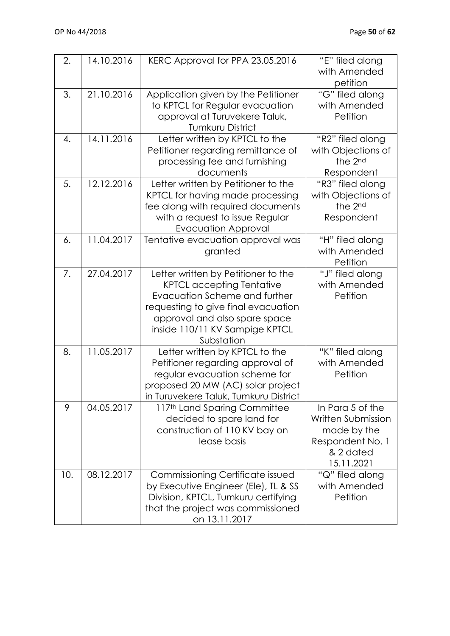| 2.  | 14.10.2016 | KERC Approval for PPA 23.05.2016                                                                                                                                                                                                 | "E" filed along<br>with Amended<br>petition                                                          |
|-----|------------|----------------------------------------------------------------------------------------------------------------------------------------------------------------------------------------------------------------------------------|------------------------------------------------------------------------------------------------------|
| 3.  | 21.10.2016 | Application given by the Petitioner<br>to KPTCL for Regular evacuation<br>approval at Turuvekere Taluk,<br><b>Tumkuru District</b>                                                                                               | "G" filed along<br>with Amended<br>Petition                                                          |
| 4.  | 14.11.2016 | Letter written by KPTCL to the<br>Petitioner regarding remittance of<br>processing fee and furnishing<br>documents                                                                                                               | "R2" filed along<br>with Objections of<br>the 2nd<br>Respondent                                      |
| 5.  | 12.12.2016 | Letter written by Petitioner to the<br>KPTCL for having made processing<br>fee along with required documents<br>with a request to issue Regular<br><b>Evacuation Approval</b>                                                    | "R3" filed along<br>with Objections of<br>the 2nd<br>Respondent                                      |
| 6.  | 11.04.2017 | Tentative evacuation approval was<br>granted                                                                                                                                                                                     | "H" filed along<br>with Amended<br>Petition                                                          |
| 7.  | 27.04.2017 | Letter written by Petitioner to the<br><b>KPTCL accepting Tentative</b><br>Evacuation Scheme and further<br>requesting to give final evacuation<br>approval and also spare space<br>inside 110/11 KV Sampige KPTCL<br>Substation | "J" filed along<br>with Amended<br>Petition                                                          |
| 8.  | 11.05.2017 | Letter written by KPTCL to the<br>Petitioner regarding approval of<br>regular evacuation scheme for<br>proposed 20 MW (AC) solar project<br>in Turuvekere Taluk, Tumkuru District                                                | "K" filed along<br>with Amended<br>Petition                                                          |
| 9   | 04.05.2017 | 117th Land Sparing Committee<br>decided to spare land for<br>construction of 110 KV bay on<br>lease basis                                                                                                                        | In Para 5 of the<br>Written Submission<br>made by the<br>Respondent No. 1<br>& 2 dated<br>15.11.2021 |
| 10. | 08.12.2017 | Commissioning Certificate issued<br>by Executive Engineer (Ele), TL & SS<br>Division, KPTCL, Tumkuru certifying<br>that the project was commissioned<br>on 13.11.2017                                                            | "Q" filed along<br>with Amended<br>Petition                                                          |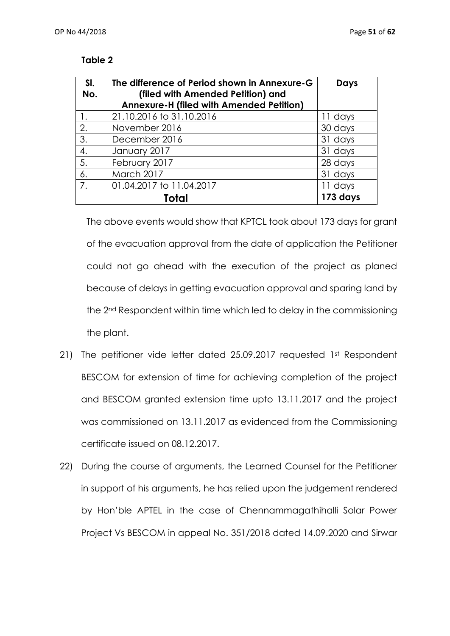### **Table 2**

| SI. | The difference of Period shown in Annexure-G    | <b>Days</b> |
|-----|-------------------------------------------------|-------------|
| No. | (filed with Amended Petition) and               |             |
|     | <b>Annexure-H (filed with Amended Petition)</b> |             |
|     | 21.10.2016 to 31.10.2016                        | 11 days     |
| 2.  | November 2016                                   | 30 days     |
| 3.  | December 2016                                   | 31 days     |
| 4.  | January 2017                                    | 31 days     |
| 5.  | February 2017                                   | 28 days     |
| 6.  | March 2017                                      | 31 days     |
| 7.  | 01.04.2017 to 11.04.2017                        | 11 days     |
|     | 173 days                                        |             |

The above events would show that KPTCL took about 173 days for grant of the evacuation approval from the date of application the Petitioner could not go ahead with the execution of the project as planed because of delays in getting evacuation approval and sparing land by the 2nd Respondent within time which led to delay in the commissioning the plant.

- 21) The petitioner vide letter dated 25.09.2017 requested 1st Respondent BESCOM for extension of time for achieving completion of the project and BESCOM granted extension time upto 13.11.2017 and the project was commissioned on 13.11.2017 as evidenced from the Commissioning certificate issued on 08.12.2017.
- 22) During the course of arguments, the Learned Counsel for the Petitioner in support of his arguments, he has relied upon the judgement rendered by Hon'ble APTEL in the case of Chennammagathihalli Solar Power Project Vs BESCOM in appeal No. 351/2018 dated 14.09.2020 and Sirwar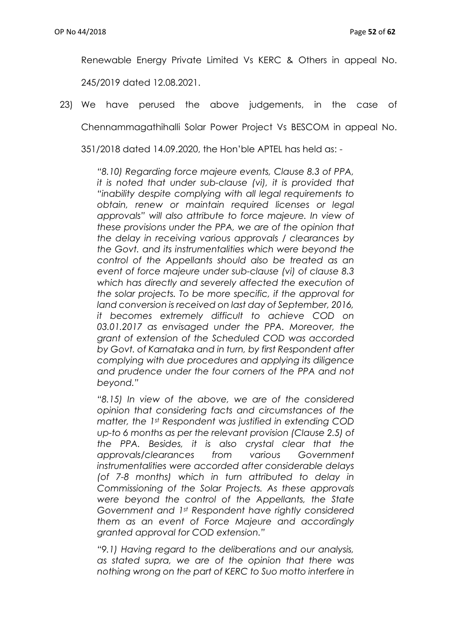Renewable Energy Private Limited Vs KERC & Others in appeal No. 245/2019 dated 12.08.2021.

23) We have perused the above judgements, in the case of Chennammagathihalli Solar Power Project Vs BESCOM in appeal No. 351/2018 dated 14.09.2020, the Hon'ble APTEL has held as: -

> *"8.10) Regarding force majeure events, Clause 8.3 of PPA, it is noted that under sub-clause (vi), it is provided that "inability despite complying with all legal requirements to obtain, renew or maintain required licenses or legal approvals" will also attribute to force majeure. In view of these provisions under the PPA, we are of the opinion that the delay in receiving various approvals / clearances by the Govt. and its instrumentalities which were beyond the control of the Appellants should also be treated as an event of force majeure under sub-clause (vi) of clause 8.3 which has directly and severely affected the execution of the solar projects. To be more specific, if the approval for land conversion is received on last day of September, 2016, it becomes extremely difficult to achieve COD on 03.01.2017 as envisaged under the PPA. Moreover, the grant of extension of the Scheduled COD was accorded by Govt. of Karnataka and in turn, by first Respondent after complying with due procedures and applying its diligence and prudence under the four corners of the PPA and not beyond."*

> *"8.15) In view of the above, we are of the considered opinion that considering facts and circumstances of the matter, the 1st Respondent was justified in extending COD up-to 6 months as per the relevant provision (Clause 2.5) of the PPA. Besides, it is also crystal clear that the approvals/clearances from various Government instrumentalities were accorded after considerable delays (of 7-8 months) which in turn attributed to delay in Commissioning of the Solar Projects. As these approvals were beyond the control of the Appellants, the State Government and 1st Respondent have rightly considered them as an event of Force Majeure and accordingly granted approval for COD extension."*

> *"9.1) Having regard to the deliberations and our analysis, as stated supra, we are of the opinion that there was nothing wrong on the part of KERC to Suo motto interfere in*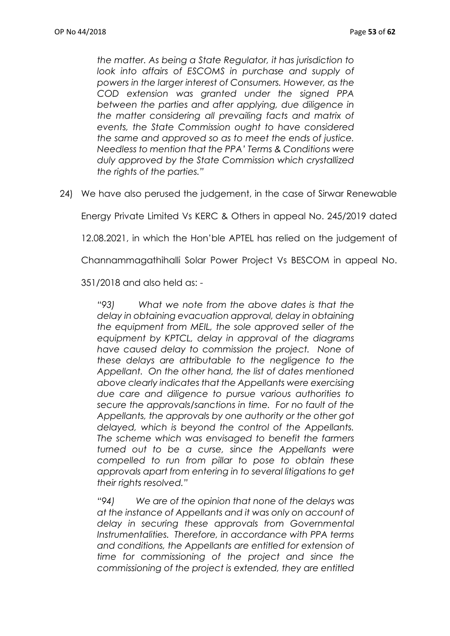*the matter. As being a State Regulator, it has jurisdiction to look into affairs of ESCOMS in purchase and supply of powers in the larger interest of Consumers. However, as the COD extension was granted under the signed PPA between the parties and after applying, due diligence in the matter considering all prevailing facts and matrix of events, the State Commission ought to have considered the same and approved so as to meet the ends of justice. Needless to mention that the PPA' Terms & Conditions were duly approved by the State Commission which crystallized the rights of the parties."*

24) We have also perused the judgement, in the case of Sirwar Renewable

Energy Private Limited Vs KERC & Others in appeal No. 245/2019 dated

12.08.2021, in which the Hon'ble APTEL has relied on the judgement of

Channammagathihalli Solar Power Project Vs BESCOM in appeal No.

351/2018 and also held as: -

*"93) What we note from the above dates is that the delay in obtaining evacuation approval, delay in obtaining the equipment from MEIL, the sole approved seller of the equipment by KPTCL, delay in approval of the diagrams have caused delay to commission the project. None of these delays are attributable to the negligence to the Appellant. On the other hand, the list of dates mentioned above clearly indicates that the Appellants were exercising due care and diligence to pursue various authorities to secure the approvals/sanctions in time. For no fault of the Appellants, the approvals by one authority or the other got delayed, which is beyond the control of the Appellants. The scheme which was envisaged to benefit the farmers turned out to be a curse, since the Appellants were compelled to run from pillar to pose to obtain these approvals apart from entering in to several litigations to get their rights resolved."*

*"94) We are of the opinion that none of the delays was at the instance of Appellants and it was only on account of delay in securing these approvals from Governmental Instrumentalities. Therefore, in accordance with PPA terms and conditions, the Appellants are entitled for extension of time for commissioning of the project and since the commissioning of the project is extended, they are entitled*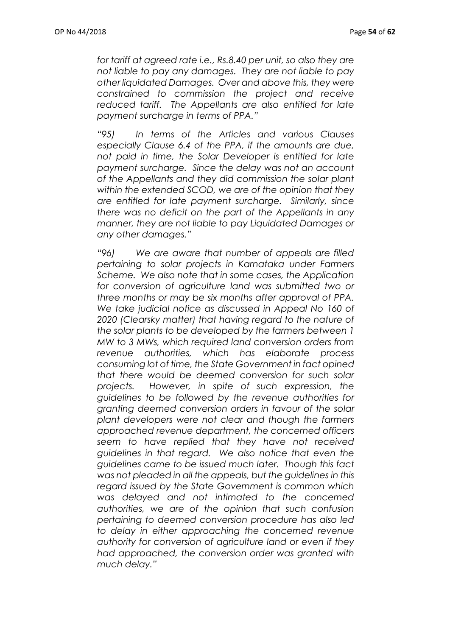*for tariff at agreed rate i.e., Rs.8.40 per unit, so also they are not liable to pay any damages. They are not liable to pay other liquidated Damages. Over and above this, they were constrained to commission the project and receive reduced tariff. The Appellants are also entitled for late payment surcharge in terms of PPA."*

*"95) In terms of the Articles and various Clauses especially Clause 6.4 of the PPA, if the amounts are due, not paid in time, the Solar Developer is entitled for late payment surcharge. Since the delay was not an account of the Appellants and they did commission the solar plant within the extended SCOD, we are of the opinion that they are entitled for late payment surcharge. Similarly, since there was no deficit on the part of the Appellants in any manner, they are not liable to pay Liquidated Damages or any other damages."*

*"96) We are aware that number of appeals are filled pertaining to solar projects in Karnataka under Farmers Scheme. We also note that in some cases, the Application for conversion of agriculture land was submitted two or three months or may be six months after approval of PPA. We take judicial notice as discussed in Appeal No 160 of 2020 (Clearsky matter) that having regard to the nature of the solar plants to be developed by the farmers between 1 MW to 3 MWs, which required land conversion orders from revenue authorities, which has elaborate process consuming lot of time, the State Government in fact opined that there would be deemed conversion for such solar projects. However, in spite of such expression, the guidelines to be followed by the revenue authorities for granting deemed conversion orders in favour of the solar plant developers were not clear and though the farmers approached revenue department, the concerned officers seem to have replied that they have not received guidelines in that regard. We also notice that even the guidelines came to be issued much later. Though this fact was not pleaded in all the appeals, but the guidelines in this regard issued by the State Government is common which was delayed and not intimated to the concerned authorities, we are of the opinion that such confusion pertaining to deemed conversion procedure has also led to delay in either approaching the concerned revenue authority for conversion of agriculture land or even if they had approached, the conversion order was granted with much delay."*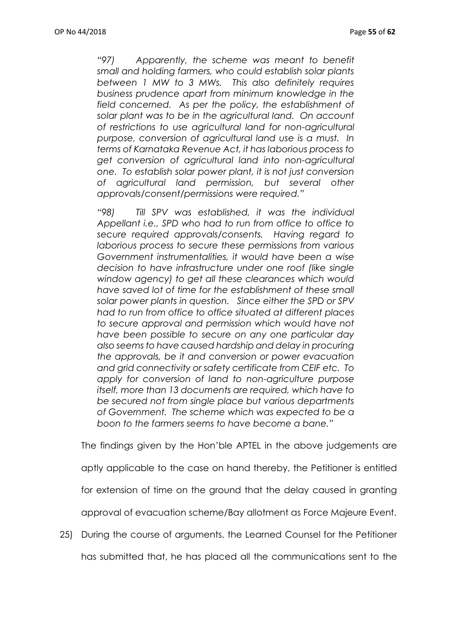*"97) Apparently, the scheme was meant to benefit small and holding farmers, who could establish solar plants between 1 MW to 3 MWs. This also definitely requires business prudence apart from minimum knowledge in the field concerned. As per the policy, the establishment of solar plant was to be in the agricultural land. On account of restrictions to use agricultural land for non-agricultural purpose, conversion of agricultural land use is a must. In terms of Karnataka Revenue Act, it has laborious process to get conversion of agricultural land into non-agricultural one. To establish solar power plant, it is not just conversion of agricultural land permission, but several other approvals/consent/permissions were required."*

*"98) Till SPV was established, it was the individual Appellant i.e., SPD who had to run from office to office to secure required approvals/consents. Having regard to laborious process to secure these permissions from various Government instrumentalities, it would have been a wise decision to have infrastructure under one roof (like single window agency) to get all these clearances which would have saved lot of time for the establishment of these small solar power plants in question. Since either the SPD or SPV had to run from office to office situated at different places to secure approval and permission which would have not have been possible to secure on any one particular day also seems to have caused hardship and delay in procuring the approvals, be it and conversion or power evacuation and grid connectivity or safety certificate from CEIF etc. To apply for conversion of land to non-agriculture purpose itself, more than 13 documents are required, which have to be secured not from single place but various departments of Government. The scheme which was expected to be a boon to the farmers seems to have become a bane."*

The findings given by the Hon'ble APTEL in the above judgements are aptly applicable to the case on hand thereby, the Petitioner is entitled for extension of time on the ground that the delay caused in granting approval of evacuation scheme/Bay allotment as Force Majeure Event.

25) During the course of arguments, the Learned Counsel for the Petitioner has submitted that, he has placed all the communications sent to the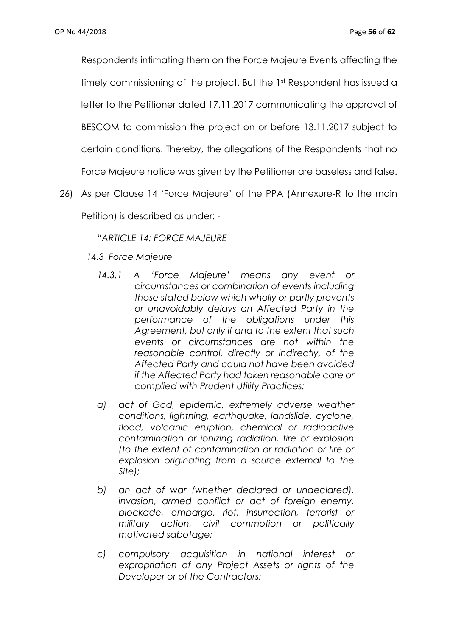Respondents intimating them on the Force Majeure Events affecting the timely commissioning of the project. But the 1st Respondent has issued a letter to the Petitioner dated 17.11.2017 communicating the approval of BESCOM to commission the project on or before 13.11.2017 subject to certain conditions. Thereby, the allegations of the Respondents that no Force Majeure notice was given by the Petitioner are baseless and false.

26) As per Clause 14 'Force Majeure' of the PPA (Annexure-R to the main Petition) is described as under: -

*"ARTICLE 14: FORCE MAJEURE*

- *14.3 Force Majeure*
	- *14.3.1 A 'Force Majeure' means any event or circumstances or combination of events including those stated below which wholly or partly prevents or unavoidably delays an Affected Party in the performance of the obligations under this Agreement, but only if and to the extent that such events or circumstances are not within the reasonable control, directly or indirectly, of the Affected Party and could not have been avoided if the Affected Party had taken reasonable care or complied with Prudent Utility Practices:*
	- *a) act of God, epidemic, extremely adverse weather conditions, lightning, earthquake, landslide, cyclone, flood, volcanic eruption, chemical or radioactive contamination or ionizing radiation, fire or explosion (to the extent of contamination or radiation or fire or explosion originating from a source external to the Site);*
	- *b) an act of war (whether declared or undeclared), invasion, armed conflict or act of foreign enemy, blockade, embargo, riot, insurrection, terrorist or military action, civil commotion or politically motivated sabotage;*
	- *c) compulsory acquisition in national interest or expropriation of any Project Assets or rights of the Developer or of the Contractors;*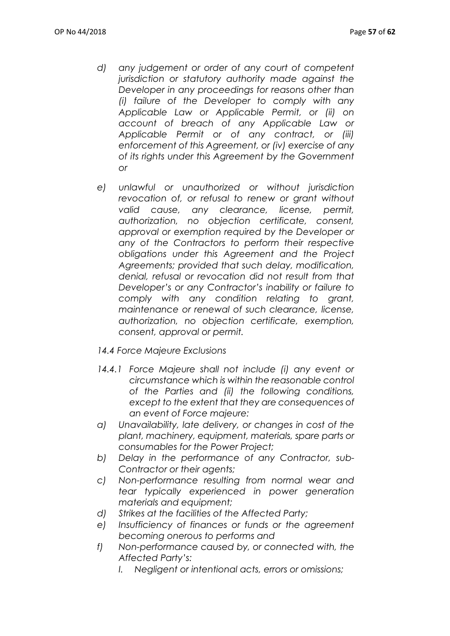- *d) any judgement or order of any court of competent jurisdiction or statutory authority made against the Developer in any proceedings for reasons other than (i) failure of the Developer to comply with any Applicable Law or Applicable Permit, or (ii) on account of breach of any Applicable Law or Applicable Permit or of any contract, or (iii) enforcement of this Agreement, or (iv) exercise of any of its rights under this Agreement by the Government or*
- *e) unlawful or unauthorized or without jurisdiction revocation of, or refusal to renew or grant without valid cause, any clearance, license, permit, authorization, no objection certificate, consent, approval or exemption required by the Developer or any of the Contractors to perform their respective obligations under this Agreement and the Project Agreements; provided that such delay, modification, denial, refusal or revocation did not result from that Developer's or any Contractor's inability or failure to comply with any condition relating to grant, maintenance or renewal of such clearance, license, authorization, no objection certificate, exemption, consent, approval or permit.*
- *14.4 Force Majeure Exclusions*
- 14.4.1 Force Majeure shall not include (i) any event or *circumstance which is within the reasonable control of the Parties and (ii) the following conditions, except to the extent that they are consequences of an event of Force majeure:*
- *a) Unavailability, late delivery, or changes in cost of the plant, machinery, equipment, materials, spare parts or consumables for the Power Project;*
- *b) Delay in the performance of any Contractor, sub-Contractor or their agents;*
- *c) Non-performance resulting from normal wear and tear typically experienced in power generation materials and equipment;*
- *d) Strikes at the facilities of the Affected Party;*
- *e) Insufficiency of finances or funds or the agreement becoming onerous to performs and*
- *f) Non-performance caused by, or connected with, the Affected Party's:*
	- *I. Negligent or intentional acts, errors or omissions;*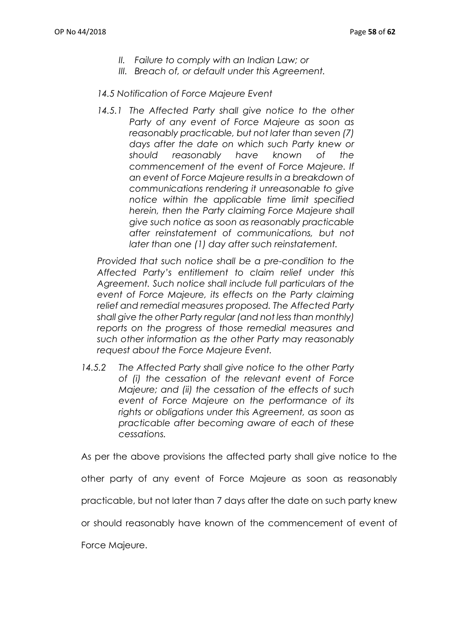- *II. Failure to comply with an Indian Law; or*
- *III. Breach of, or default under this Agreement.*

## *14.5 Notification of Force Majeure Event*

14.5.1 The Affected Party shall give notice to the other *Party of any event of Force Majeure as soon as reasonably practicable, but not later than seven (7) days after the date on which such Party knew or should reasonably have known of the commencement of the event of Force Majeure. If an event of Force Majeure results in a breakdown of communications rendering it unreasonable to give notice within the applicable time limit specified herein, then the Party claiming Force Majeure shall give such notice as soon as reasonably practicable after reinstatement of communications, but not later than one (1) day after such reinstatement.*

*Provided that such notice shall be a pre-condition to the Affected Party's entitlement to claim relief under this Agreement. Such notice shall include full particulars of the event of Force Majeure, its effects on the Party claiming relief and remedial measures proposed. The Affected Party shall give the other Party regular (and not less than monthly) reports on the progress of those remedial measures and such other information as the other Party may reasonably request about the Force Majeure Event.*

*14.5.2 The Affected Party shall give notice to the other Party of (i) the cessation of the relevant event of Force Majeure; and (ii) the cessation of the effects of such event of Force Majeure on the performance of its rights or obligations under this Agreement, as soon as practicable after becoming aware of each of these cessations.*

As per the above provisions the affected party shall give notice to the

other party of any event of Force Majeure as soon as reasonably

practicable, but not later than 7 days after the date on such party knew

or should reasonably have known of the commencement of event of

Force Majeure.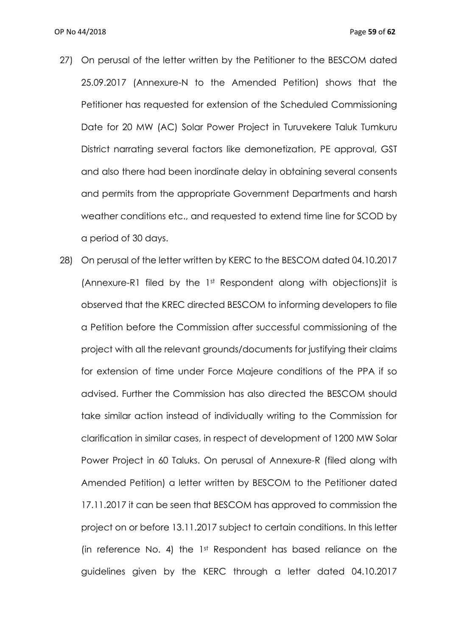- 27) On perusal of the letter written by the Petitioner to the BESCOM dated 25.09.2017 (Annexure-N to the Amended Petition) shows that the Petitioner has requested for extension of the Scheduled Commissioning Date for 20 MW (AC) Solar Power Project in Turuvekere Taluk Tumkuru District narrating several factors like demonetization, PE approval, GST and also there had been inordinate delay in obtaining several consents and permits from the appropriate Government Departments and harsh weather conditions etc., and requested to extend time line for SCOD by a period of 30 days.
- 28) On perusal of the letter written by KERC to the BESCOM dated 04.10.2017 (Annexure-R1 filed by the 1st Respondent along with objections)it is observed that the KREC directed BESCOM to informing developers to file a Petition before the Commission after successful commissioning of the project with all the relevant grounds/documents for justifying their claims for extension of time under Force Majeure conditions of the PPA if so advised. Further the Commission has also directed the BESCOM should take similar action instead of individually writing to the Commission for clarification in similar cases, in respect of development of 1200 MW Solar Power Project in 60 Taluks. On perusal of Annexure-R (filed along with Amended Petition) a letter written by BESCOM to the Petitioner dated 17.11.2017 it can be seen that BESCOM has approved to commission the project on or before 13.11.2017 subject to certain conditions. In this letter (in reference No. 4) the 1st Respondent has based reliance on the guidelines given by the KERC through a letter dated 04.10.2017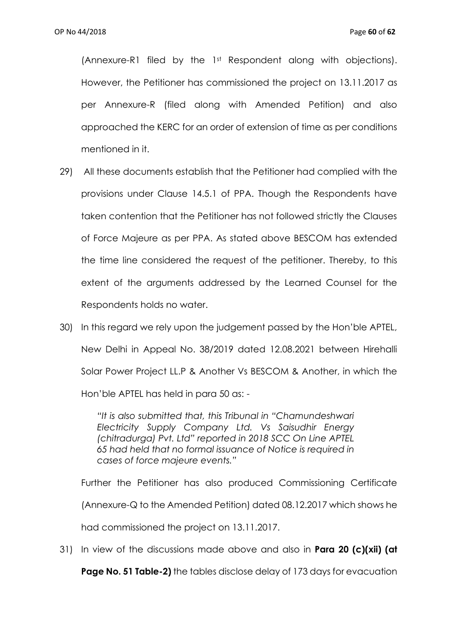(Annexure-R1 filed by the 1st Respondent along with objections). However, the Petitioner has commissioned the project on 13.11.2017 as per Annexure-R (filed along with Amended Petition) and also approached the KERC for an order of extension of time as per conditions mentioned in it.

- 29) All these documents establish that the Petitioner had complied with the provisions under Clause 14.5.1 of PPA. Though the Respondents have taken contention that the Petitioner has not followed strictly the Clauses of Force Majeure as per PPA. As stated above BESCOM has extended the time line considered the request of the petitioner. Thereby, to this extent of the arguments addressed by the Learned Counsel for the Respondents holds no water.
- 30) In this regard we rely upon the judgement passed by the Hon'ble APTEL, New Delhi in Appeal No. 38/2019 dated 12.08.2021 between Hirehalli Solar Power Project LL.P & Another Vs BESCOM & Another, in which the Hon'ble APTEL has held in para 50 as: -

*"It is also submitted that, this Tribunal in "Chamundeshwari Electricity Supply Company Ltd. Vs Saisudhir Energy (chitradurga) Pvt. Ltd" reported in 2018 SCC On Line APTEL 65 had held that no formal issuance of Notice is required in cases of force majeure events."*

Further the Petitioner has also produced Commissioning Certificate (Annexure-Q to the Amended Petition) dated 08.12.2017 which shows he had commissioned the project on 13.11.2017.

31) In view of the discussions made above and also in **Para 20 (c)(xii) (at** 

**Page No. 51 Table-2)** the tables disclose delay of 173 days for evacuation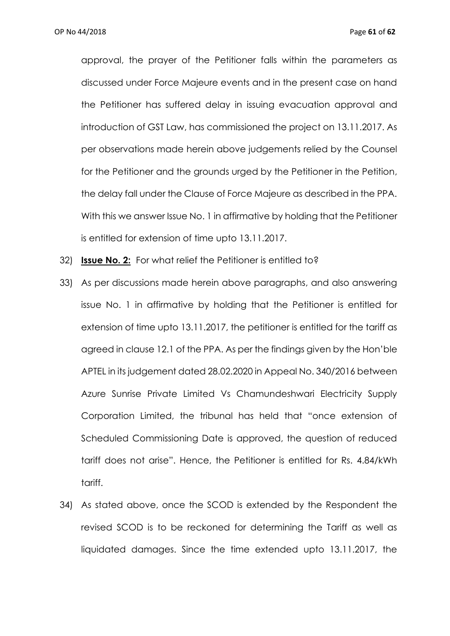approval, the prayer of the Petitioner falls within the parameters as discussed under Force Majeure events and in the present case on hand the Petitioner has suffered delay in issuing evacuation approval and introduction of GST Law, has commissioned the project on 13.11.2017. As per observations made herein above judgements relied by the Counsel for the Petitioner and the grounds urged by the Petitioner in the Petition, the delay fall under the Clause of Force Majeure as described in the PPA. With this we answer Issue No. 1 in affirmative by holding that the Petitioner is entitled for extension of time upto 13.11.2017.

- 32) **Issue No. 2:** For what relief the Petitioner is entitled to?
- 33) As per discussions made herein above paragraphs, and also answering issue No. 1 in affirmative by holding that the Petitioner is entitled for extension of time upto 13.11.2017, the petitioner is entitled for the tariff as agreed in clause 12.1 of the PPA. As per the findings given by the Hon'ble APTEL in its judgement dated 28.02.2020 in Appeal No. 340/2016 between Azure Sunrise Private Limited Vs Chamundeshwari Electricity Supply Corporation Limited, the tribunal has held that "once extension of Scheduled Commissioning Date is approved, the question of reduced tariff does not arise". Hence, the Petitioner is entitled for Rs. 4.84/kWh tariff.
- 34) As stated above, once the SCOD is extended by the Respondent the revised SCOD is to be reckoned for determining the Tariff as well as liquidated damages. Since the time extended upto 13.11.2017, the